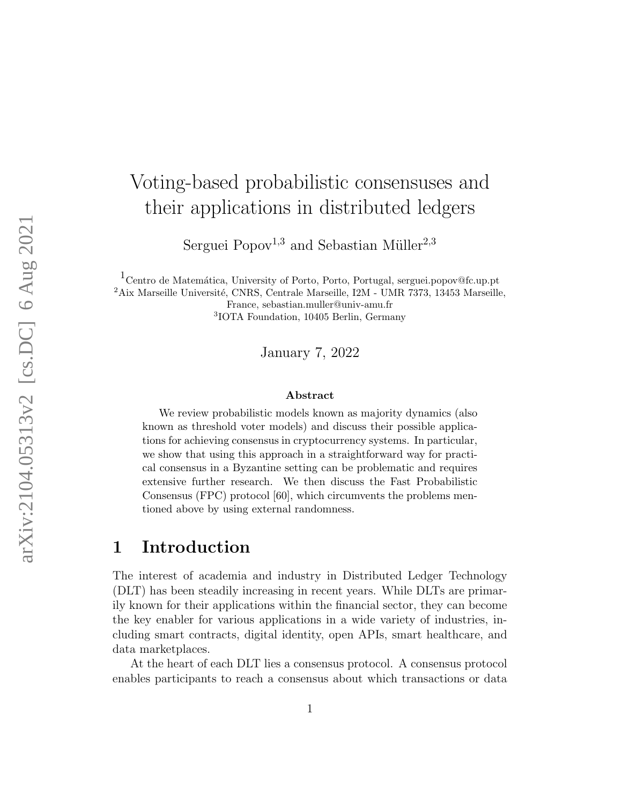# Voting-based probabilistic consensuses and their applications in distributed ledgers

Serguei Popov<sup>1,3</sup> and Sebastian Müller<sup>2,3</sup>

<sup>1</sup> Centro de Matemática, University of Porto, Porto, Portugal, serguei.popov@fc.up.pt  $2A$ ix Marseille Université, CNRS, Centrale Marseille, I2M - UMR 7373, 13453 Marseille, France, sebastian.muller@univ-amu.fr 3 IOTA Foundation, 10405 Berlin, Germany

January 7, 2022

#### Abstract

We review probabilistic models known as majority dynamics (also known as threshold voter models) and discuss their possible applications for achieving consensus in cryptocurrency systems. In particular, we show that using this approach in a straightforward way for practical consensus in a Byzantine setting can be problematic and requires extensive further research. We then discuss the Fast Probabilistic Consensus (FPC) protocol [60], which circumvents the problems mentioned above by using external randomness.

### 1 Introduction

The interest of academia and industry in Distributed Ledger Technology (DLT) has been steadily increasing in recent years. While DLTs are primarily known for their applications within the financial sector, they can become the key enabler for various applications in a wide variety of industries, including smart contracts, digital identity, open APIs, smart healthcare, and data marketplaces.

At the heart of each DLT lies a consensus protocol. A consensus protocol enables participants to reach a consensus about which transactions or data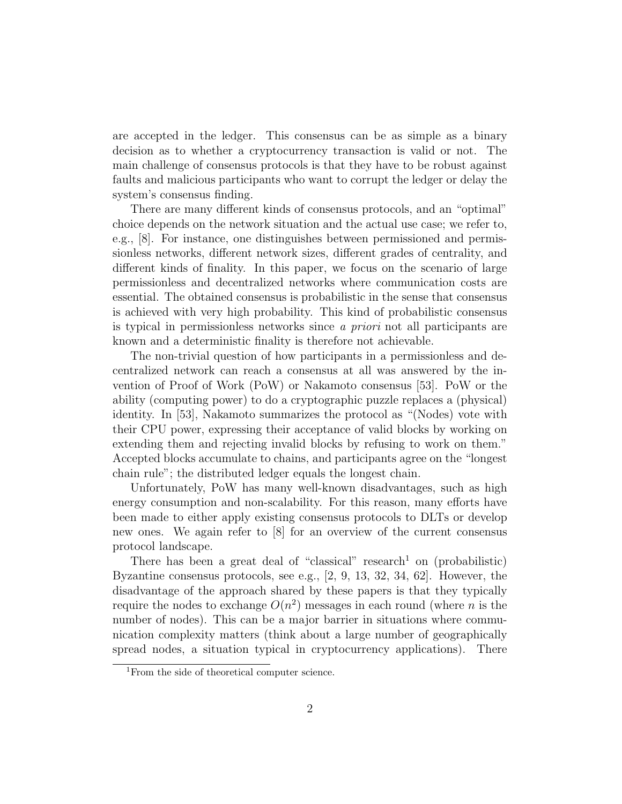are accepted in the ledger. This consensus can be as simple as a binary decision as to whether a cryptocurrency transaction is valid or not. The main challenge of consensus protocols is that they have to be robust against faults and malicious participants who want to corrupt the ledger or delay the system's consensus finding.

There are many different kinds of consensus protocols, and an "optimal" choice depends on the network situation and the actual use case; we refer to, e.g., [8]. For instance, one distinguishes between permissioned and permissionless networks, different network sizes, different grades of centrality, and different kinds of finality. In this paper, we focus on the scenario of large permissionless and decentralized networks where communication costs are essential. The obtained consensus is probabilistic in the sense that consensus is achieved with very high probability. This kind of probabilistic consensus is typical in permissionless networks since a priori not all participants are known and a deterministic finality is therefore not achievable.

The non-trivial question of how participants in a permissionless and decentralized network can reach a consensus at all was answered by the invention of Proof of Work (PoW) or Nakamoto consensus [53]. PoW or the ability (computing power) to do a cryptographic puzzle replaces a (physical) identity. In [53], Nakamoto summarizes the protocol as "(Nodes) vote with their CPU power, expressing their acceptance of valid blocks by working on extending them and rejecting invalid blocks by refusing to work on them." Accepted blocks accumulate to chains, and participants agree on the "longest chain rule"; the distributed ledger equals the longest chain.

Unfortunately, PoW has many well-known disadvantages, such as high energy consumption and non-scalability. For this reason, many efforts have been made to either apply existing consensus protocols to DLTs or develop new ones. We again refer to [8] for an overview of the current consensus protocol landscape.

There has been a great deal of "classical" research<sup>1</sup> on (probabilistic) Byzantine consensus protocols, see e.g., [2, 9, 13, 32, 34, 62]. However, the disadvantage of the approach shared by these papers is that they typically require the nodes to exchange  $O(n^2)$  messages in each round (where n is the number of nodes). This can be a major barrier in situations where communication complexity matters (think about a large number of geographically spread nodes, a situation typical in cryptocurrency applications). There

<sup>&</sup>lt;sup>1</sup>From the side of theoretical computer science.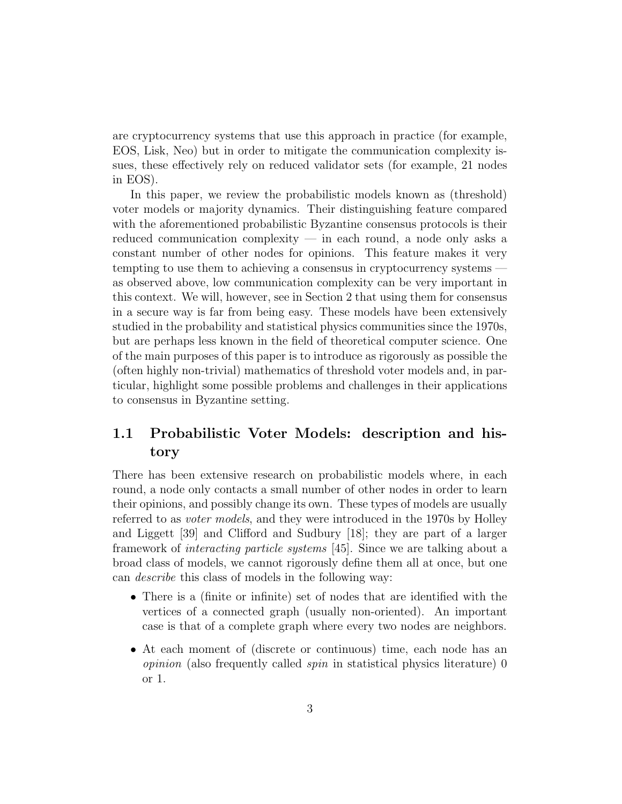are cryptocurrency systems that use this approach in practice (for example, EOS, Lisk, Neo) but in order to mitigate the communication complexity issues, these effectively rely on reduced validator sets (for example, 21 nodes in EOS).

In this paper, we review the probabilistic models known as (threshold) voter models or majority dynamics. Their distinguishing feature compared with the aforementioned probabilistic Byzantine consensus protocols is their reduced communication complexity — in each round, a node only asks a constant number of other nodes for opinions. This feature makes it very tempting to use them to achieving a consensus in cryptocurrency systems as observed above, low communication complexity can be very important in this context. We will, however, see in Section 2 that using them for consensus in a secure way is far from being easy. These models have been extensively studied in the probability and statistical physics communities since the 1970s, but are perhaps less known in the field of theoretical computer science. One of the main purposes of this paper is to introduce as rigorously as possible the (often highly non-trivial) mathematics of threshold voter models and, in particular, highlight some possible problems and challenges in their applications to consensus in Byzantine setting.

### 1.1 Probabilistic Voter Models: description and history

There has been extensive research on probabilistic models where, in each round, a node only contacts a small number of other nodes in order to learn their opinions, and possibly change its own. These types of models are usually referred to as *voter models*, and they were introduced in the 1970s by Holley and Liggett [39] and Clifford and Sudbury [18]; they are part of a larger framework of interacting particle systems [45]. Since we are talking about a broad class of models, we cannot rigorously define them all at once, but one can describe this class of models in the following way:

- There is a (finite or infinite) set of nodes that are identified with the vertices of a connected graph (usually non-oriented). An important case is that of a complete graph where every two nodes are neighbors.
- At each moment of (discrete or continuous) time, each node has an opinion (also frequently called spin in statistical physics literature) 0 or 1.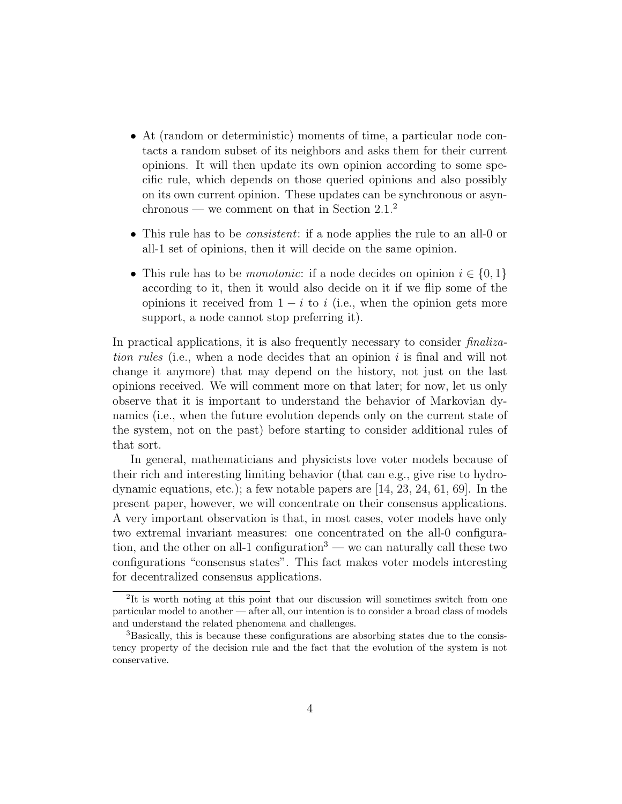- At (random or deterministic) moments of time, a particular node contacts a random subset of its neighbors and asks them for their current opinions. It will then update its own opinion according to some specific rule, which depends on those queried opinions and also possibly on its own current opinion. These updates can be synchronous or asynchronous — we comment on that in Section  $2.1<sup>2</sup>$
- This rule has to be *consistent*: if a node applies the rule to an all-0 or all-1 set of opinions, then it will decide on the same opinion.
- This rule has to be *monotonic*: if a node decides on opinion  $i \in \{0, 1\}$ according to it, then it would also decide on it if we flip some of the opinions it received from  $1 - i$  to i (i.e., when the opinion gets more support, a node cannot stop preferring it).

In practical applications, it is also frequently necessary to consider finalization rules (i.e., when a node decides that an opinion  $i$  is final and will not change it anymore) that may depend on the history, not just on the last opinions received. We will comment more on that later; for now, let us only observe that it is important to understand the behavior of Markovian dynamics (i.e., when the future evolution depends only on the current state of the system, not on the past) before starting to consider additional rules of that sort.

In general, mathematicians and physicists love voter models because of their rich and interesting limiting behavior (that can e.g., give rise to hydrodynamic equations, etc.); a few notable papers are [14, 23, 24, 61, 69]. In the present paper, however, we will concentrate on their consensus applications. A very important observation is that, in most cases, voter models have only two extremal invariant measures: one concentrated on the all-0 configuration, and the other on all-1 configuration<sup>3</sup> — we can naturally call these two configurations "consensus states". This fact makes voter models interesting for decentralized consensus applications.

<sup>&</sup>lt;sup>2</sup>It is worth noting at this point that our discussion will sometimes switch from one particular model to another — after all, our intention is to consider a broad class of models and understand the related phenomena and challenges.

<sup>3</sup>Basically, this is because these configurations are absorbing states due to the consistency property of the decision rule and the fact that the evolution of the system is not conservative.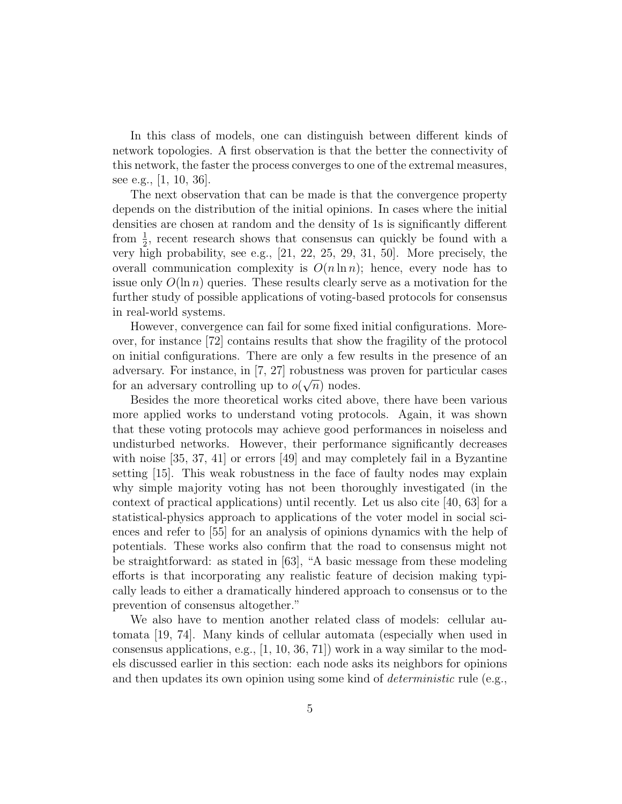In this class of models, one can distinguish between different kinds of network topologies. A first observation is that the better the connectivity of this network, the faster the process converges to one of the extremal measures, see e.g., [1, 10, 36].

The next observation that can be made is that the convergence property depends on the distribution of the initial opinions. In cases where the initial densities are chosen at random and the density of 1s is significantly different from  $\frac{1}{2}$ , recent research shows that consensus can quickly be found with a very high probability, see e.g., [21, 22, 25, 29, 31, 50]. More precisely, the overall communication complexity is  $O(n \ln n)$ ; hence, every node has to issue only  $O(\ln n)$  queries. These results clearly serve as a motivation for the further study of possible applications of voting-based protocols for consensus in real-world systems.

However, convergence can fail for some fixed initial configurations. Moreover, for instance [72] contains results that show the fragility of the protocol on initial configurations. There are only a few results in the presence of an adversary. For instance, in [7, 27] robustness was proven for particular cases for an adversary controlling up to  $o(\sqrt{n})$  nodes.

Besides the more theoretical works cited above, there have been various more applied works to understand voting protocols. Again, it was shown that these voting protocols may achieve good performances in noiseless and undisturbed networks. However, their performance significantly decreases with noise [35, 37, 41] or errors [49] and may completely fail in a Byzantine setting [15]. This weak robustness in the face of faulty nodes may explain why simple majority voting has not been thoroughly investigated (in the context of practical applications) until recently. Let us also cite [40, 63] for a statistical-physics approach to applications of the voter model in social sciences and refer to [55] for an analysis of opinions dynamics with the help of potentials. These works also confirm that the road to consensus might not be straightforward: as stated in [63], "A basic message from these modeling efforts is that incorporating any realistic feature of decision making typically leads to either a dramatically hindered approach to consensus or to the prevention of consensus altogether."

We also have to mention another related class of models: cellular automata [19, 74]. Many kinds of cellular automata (especially when used in consensus applications, e.g.,  $[1, 10, 36, 71]$  work in a way similar to the models discussed earlier in this section: each node asks its neighbors for opinions and then updates its own opinion using some kind of *deterministic* rule (e.g.,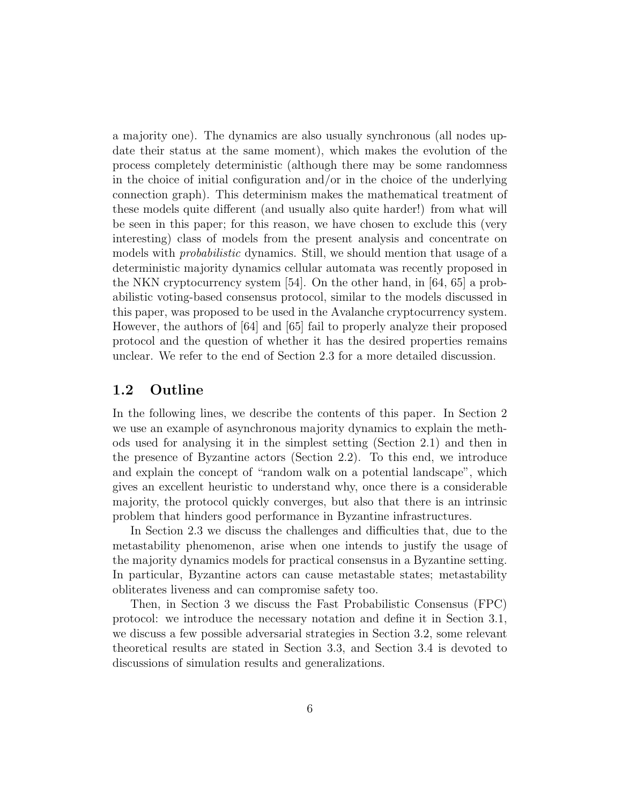a majority one). The dynamics are also usually synchronous (all nodes update their status at the same moment), which makes the evolution of the process completely deterministic (although there may be some randomness in the choice of initial configuration and/or in the choice of the underlying connection graph). This determinism makes the mathematical treatment of these models quite different (and usually also quite harder!) from what will be seen in this paper; for this reason, we have chosen to exclude this (very interesting) class of models from the present analysis and concentrate on models with *probabilistic* dynamics. Still, we should mention that usage of a deterministic majority dynamics cellular automata was recently proposed in the NKN cryptocurrency system [54]. On the other hand, in [64, 65] a probabilistic voting-based consensus protocol, similar to the models discussed in this paper, was proposed to be used in the Avalanche cryptocurrency system. However, the authors of [64] and [65] fail to properly analyze their proposed protocol and the question of whether it has the desired properties remains unclear. We refer to the end of Section 2.3 for a more detailed discussion.

#### 1.2 Outline

In the following lines, we describe the contents of this paper. In Section 2 we use an example of asynchronous majority dynamics to explain the methods used for analysing it in the simplest setting (Section 2.1) and then in the presence of Byzantine actors (Section 2.2). To this end, we introduce and explain the concept of "random walk on a potential landscape", which gives an excellent heuristic to understand why, once there is a considerable majority, the protocol quickly converges, but also that there is an intrinsic problem that hinders good performance in Byzantine infrastructures.

In Section 2.3 we discuss the challenges and difficulties that, due to the metastability phenomenon, arise when one intends to justify the usage of the majority dynamics models for practical consensus in a Byzantine setting. In particular, Byzantine actors can cause metastable states; metastability obliterates liveness and can compromise safety too.

Then, in Section 3 we discuss the Fast Probabilistic Consensus (FPC) protocol: we introduce the necessary notation and define it in Section 3.1, we discuss a few possible adversarial strategies in Section 3.2, some relevant theoretical results are stated in Section 3.3, and Section 3.4 is devoted to discussions of simulation results and generalizations.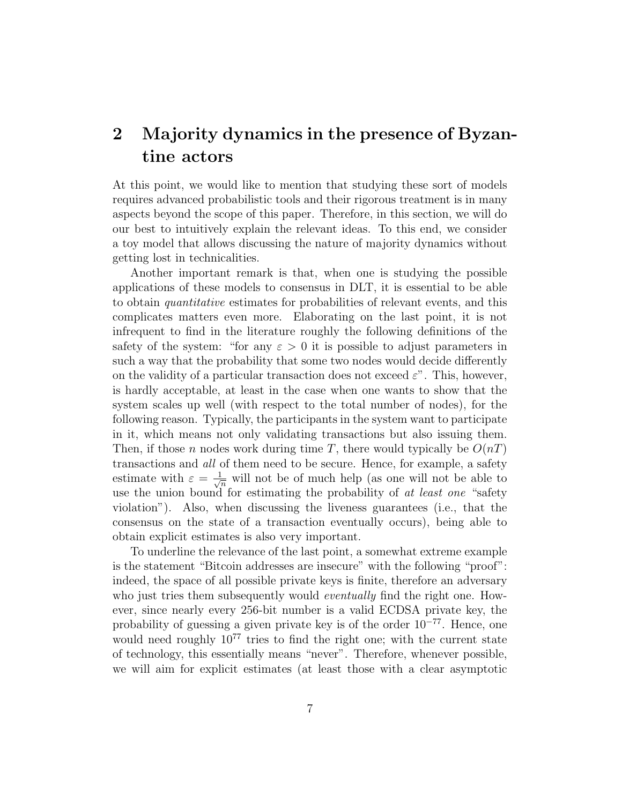## 2 Majority dynamics in the presence of Byzantine actors

At this point, we would like to mention that studying these sort of models requires advanced probabilistic tools and their rigorous treatment is in many aspects beyond the scope of this paper. Therefore, in this section, we will do our best to intuitively explain the relevant ideas. To this end, we consider a toy model that allows discussing the nature of majority dynamics without getting lost in technicalities.

Another important remark is that, when one is studying the possible applications of these models to consensus in DLT, it is essential to be able to obtain quantitative estimates for probabilities of relevant events, and this complicates matters even more. Elaborating on the last point, it is not infrequent to find in the literature roughly the following definitions of the safety of the system: "for any  $\varepsilon > 0$  it is possible to adjust parameters in such a way that the probability that some two nodes would decide differently on the validity of a particular transaction does not exceed  $\varepsilon$ ". This, however, is hardly acceptable, at least in the case when one wants to show that the system scales up well (with respect to the total number of nodes), for the following reason. Typically, the participants in the system want to participate in it, which means not only validating transactions but also issuing them. Then, if those n nodes work during time T, there would typically be  $O(nT)$ transactions and all of them need to be secure. Hence, for example, a safety estimate with  $\varepsilon = \frac{1}{\sqrt{n}}$  will not be of much help (as one will not be able to use the union bound for estimating the probability of at least one "safety" violation"). Also, when discussing the liveness guarantees (i.e., that the consensus on the state of a transaction eventually occurs), being able to obtain explicit estimates is also very important.

To underline the relevance of the last point, a somewhat extreme example is the statement "Bitcoin addresses are insecure" with the following "proof": indeed, the space of all possible private keys is finite, therefore an adversary who just tries them subsequently would *eventually* find the right one. However, since nearly every 256-bit number is a valid ECDSA private key, the probability of guessing a given private key is of the order  $10^{-77}$ . Hence, one would need roughly  $10^{77}$  tries to find the right one; with the current state of technology, this essentially means "never". Therefore, whenever possible, we will aim for explicit estimates (at least those with a clear asymptotic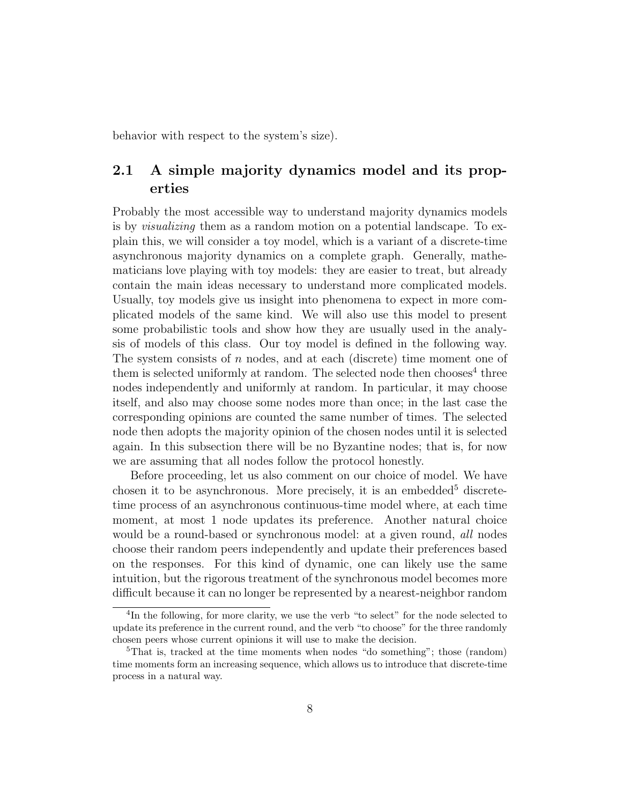behavior with respect to the system's size).

### 2.1 A simple majority dynamics model and its properties

Probably the most accessible way to understand majority dynamics models is by visualizing them as a random motion on a potential landscape. To explain this, we will consider a toy model, which is a variant of a discrete-time asynchronous majority dynamics on a complete graph. Generally, mathematicians love playing with toy models: they are easier to treat, but already contain the main ideas necessary to understand more complicated models. Usually, toy models give us insight into phenomena to expect in more complicated models of the same kind. We will also use this model to present some probabilistic tools and show how they are usually used in the analysis of models of this class. Our toy model is defined in the following way. The system consists of  $n$  nodes, and at each (discrete) time moment one of them is selected uniformly at random. The selected node then chooses<sup>4</sup> three nodes independently and uniformly at random. In particular, it may choose itself, and also may choose some nodes more than once; in the last case the corresponding opinions are counted the same number of times. The selected node then adopts the majority opinion of the chosen nodes until it is selected again. In this subsection there will be no Byzantine nodes; that is, for now we are assuming that all nodes follow the protocol honestly.

Before proceeding, let us also comment on our choice of model. We have chosen it to be asynchronous. More precisely, it is an embedded<sup>5</sup> discretetime process of an asynchronous continuous-time model where, at each time moment, at most 1 node updates its preference. Another natural choice would be a round-based or synchronous model: at a given round, *all* nodes choose their random peers independently and update their preferences based on the responses. For this kind of dynamic, one can likely use the same intuition, but the rigorous treatment of the synchronous model becomes more difficult because it can no longer be represented by a nearest-neighbor random

<sup>&</sup>lt;sup>4</sup>In the following, for more clarity, we use the verb "to select" for the node selected to update its preference in the current round, and the verb "to choose" for the three randomly chosen peers whose current opinions it will use to make the decision.

 ${}^{5}$ That is, tracked at the time moments when nodes "do something"; those (random) time moments form an increasing sequence, which allows us to introduce that discrete-time process in a natural way.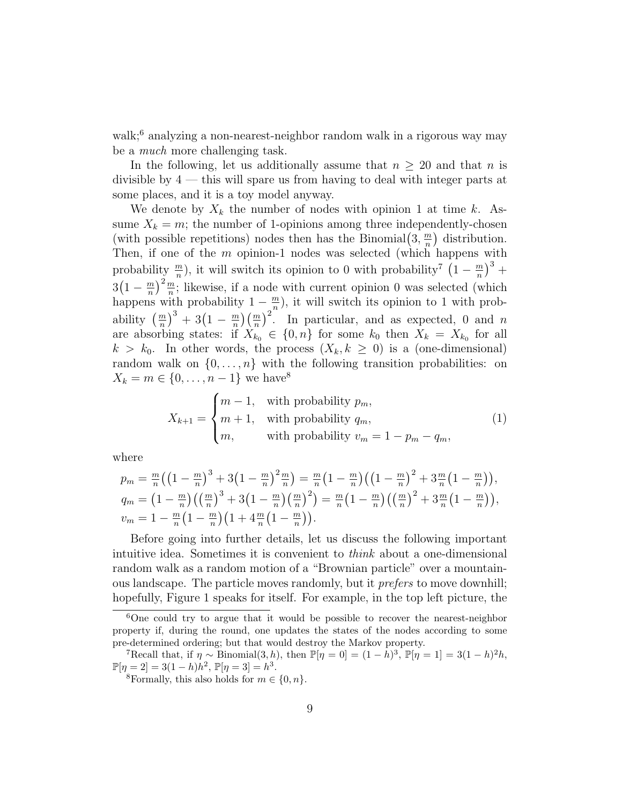walk;<sup>6</sup> analyzing a non-nearest-neighbor random walk in a rigorous way may be a much more challenging task.

In the following, let us additionally assume that  $n \geq 20$  and that n is divisible by  $4$  — this will spare us from having to deal with integer parts at some places, and it is a toy model anyway.

We denote by  $X_k$  the number of nodes with opinion 1 at time k. Assume  $X_k = m$ ; the number of 1-opinions among three independently-chosen (with possible repetitions) nodes then has the Binomial  $(3, \frac{m}{n})$  $\binom{m}{n}$  distribution. Then, if one of the m opinion-1 nodes was selected (which happens with probability  $\frac{m}{n}$ , it will switch its opinion to 0 with probability<sup>7</sup>  $\left(1 - \frac{m}{n}\right)$  $\frac{m}{n}\big)^3 +$  $3(1-\frac{m}{n})$  $\left(\frac{m}{n}\right)^2 \frac{m}{n}$ ; likewise, if a node with current opinion 0 was selected (which happens with probability  $1 - \frac{m}{n}$  $\frac{m}{n}$ ), it will switch its opinion to 1 with probability  $\left(\frac{m}{n}\right)^3 + 3\left(1 - \frac{m}{n}\right)$  $\frac{m}{n}$  $\left(\frac{m}{n}\right)^2$ . In particular, and as expected, 0 and n are absorbing states: if  $X_{k_0} \in \{0, n\}$  for some  $k_0$  then  $X_k = X_{k_0}$  for all  $k > k_0$ . In other words, the process  $(X_k, k \geq 0)$  is a (one-dimensional) random walk on  $\{0, \ldots, n\}$  with the following transition probabilities: on  $X_k = m \in \{0, ..., n-1\}$  we have<sup>8</sup>

$$
X_{k+1} = \begin{cases} m-1, & \text{with probability } p_m, \\ m+1, & \text{with probability } q_m, \\ m, & \text{with probability } v_m = 1 - p_m - q_m, \end{cases} \tag{1}
$$

where

$$
p_m = \frac{m}{n} \left( \left( 1 - \frac{m}{n} \right)^3 + 3 \left( 1 - \frac{m}{n} \right)^2 \frac{m}{n} \right) = \frac{m}{n} \left( 1 - \frac{m}{n} \right) \left( \left( 1 - \frac{m}{n} \right)^2 + 3 \frac{m}{n} \left( 1 - \frac{m}{n} \right) \right),
$$
  
\n
$$
q_m = \left( 1 - \frac{m}{n} \right) \left( \left( \frac{m}{n} \right)^3 + 3 \left( 1 - \frac{m}{n} \right) \left( \frac{m}{n} \right)^2 \right) = \frac{m}{n} \left( 1 - \frac{m}{n} \right) \left( \left( \frac{m}{n} \right)^2 + 3 \frac{m}{n} \left( 1 - \frac{m}{n} \right) \right),
$$
  
\n
$$
v_m = 1 - \frac{m}{n} \left( 1 - \frac{m}{n} \right) \left( 1 + 4 \frac{m}{n} \left( 1 - \frac{m}{n} \right) \right).
$$

Before going into further details, let us discuss the following important intuitive idea. Sometimes it is convenient to think about a one-dimensional random walk as a random motion of a "Brownian particle" over a mountainous landscape. The particle moves randomly, but it prefers to move downhill; hopefully, Figure 1 speaks for itself. For example, in the top left picture, the

<sup>6</sup>One could try to argue that it would be possible to recover the nearest-neighbor property if, during the round, one updates the states of the nodes according to some pre-determined ordering; but that would destroy the Markov property.

<sup>&</sup>lt;sup>7</sup>Recall that, if  $\eta \sim \text{Binomial}(3, h)$ , then  $\mathbb{P}[\eta = 0] = (1 - h)^3$ ,  $\mathbb{P}[\eta = 1] = 3(1 - h)^2 h$ ,  $\mathbb{P}[\eta = 2] = 3(1-h)h^2, \, \mathbb{P}[\eta = 3] = h^3.$ 

<sup>&</sup>lt;sup>8</sup>Formally, this also holds for  $m \in \{0, n\}$ .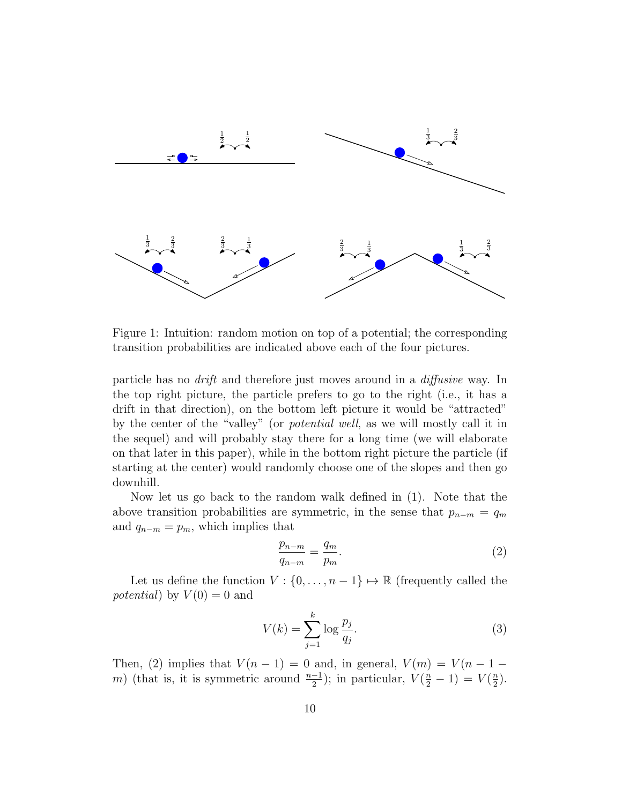

Figure 1: Intuition: random motion on top of a potential; the corresponding transition probabilities are indicated above each of the four pictures.

particle has no drift and therefore just moves around in a diffusive way. In the top right picture, the particle prefers to go to the right (i.e., it has a drift in that direction), on the bottom left picture it would be "attracted" by the center of the "valley" (or potential well, as we will mostly call it in the sequel) and will probably stay there for a long time (we will elaborate on that later in this paper), while in the bottom right picture the particle (if starting at the center) would randomly choose one of the slopes and then go downhill.

Now let us go back to the random walk defined in (1). Note that the above transition probabilities are symmetric, in the sense that  $p_{n-m} = q_m$ and  $q_{n-m} = p_m$ , which implies that

$$
\frac{p_{n-m}}{q_{n-m}} = \frac{q_m}{p_m}.\tag{2}
$$

Let us define the function  $V : \{0, \ldots, n-1\} \mapsto \mathbb{R}$  (frequently called the potential) by  $V(0) = 0$  and

$$
V(k) = \sum_{j=1}^{k} \log \frac{p_j}{q_j}.
$$
\n
$$
(3)
$$

Then, (2) implies that  $V(n-1) = 0$  and, in general,  $V(m) = V(n-1$ m) (that is, it is symmetric around  $\frac{n-1}{2}$ ); in particular,  $V(\frac{n}{2}-1) = V(\frac{n}{2})$  $\frac{n}{2}$ .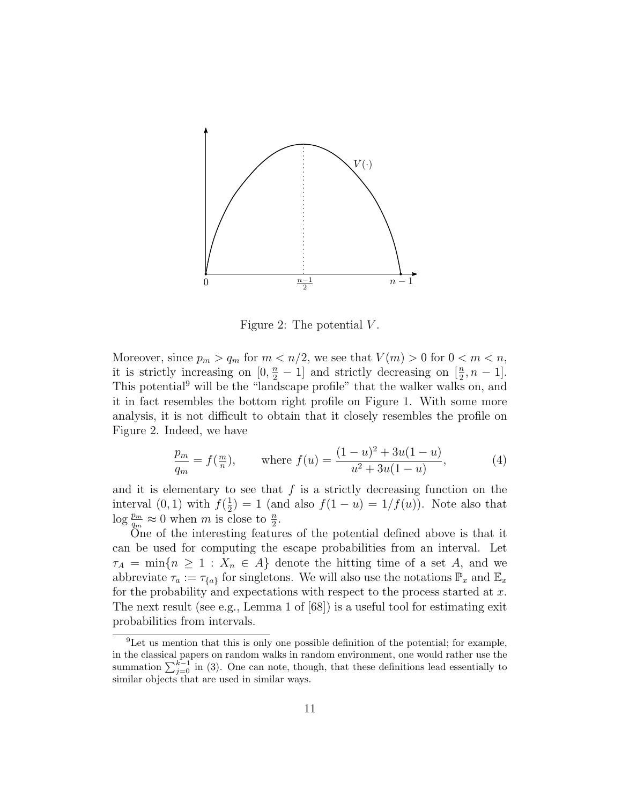

Figure 2: The potential  $V$ .

Moreover, since  $p_m > q_m$  for  $m < n/2$ , we see that  $V(m) > 0$  for  $0 < m < n$ , it is strictly increasing on  $[0, \frac{n}{2} - 1]$  and strictly decreasing on  $[\frac{n}{2}, n - 1]$ . This potential<sup>9</sup> will be the "landscape profile" that the walker walks on, and it in fact resembles the bottom right profile on Figure 1. With some more analysis, it is not difficult to obtain that it closely resembles the profile on Figure 2. Indeed, we have

$$
\frac{p_m}{q_m} = f(\frac{m}{n}), \quad \text{where } f(u) = \frac{(1-u)^2 + 3u(1-u)}{u^2 + 3u(1-u)}, \tag{4}
$$

and it is elementary to see that  $f$  is a strictly decreasing function on the interval  $(0,1)$  with  $f(\frac{1}{2})$  $(\frac{1}{2}) = 1$  (and also  $f(1 - u) = 1/f(u)$ ). Note also that  $\log \frac{p_m}{q_m} \approx 0$  when m is close to  $\frac{n}{2}$ .

One of the interesting features of the potential defined above is that it can be used for computing the escape probabilities from an interval. Let  $\tau_A = \min\{n \geq 1 : X_n \in A\}$  denote the hitting time of a set A, and we abbreviate  $\tau_a := \tau_{\{a\}}$  for singletons. We will also use the notations  $\mathbb{P}_x$  and  $\mathbb{E}_x$ for the probability and expectations with respect to the process started at  $x$ . The next result (see e.g., Lemma 1 of [68]) is a useful tool for estimating exit probabilities from intervals.

 ${}^{9}$ Let us mention that this is only one possible definition of the potential; for example, in the classical papers on random walks in random environment, one would rather use the summation  $\sum_{j=0}^{k-1}$  in (3). One can note, though, that these definitions lead essentially to similar objects that are used in similar ways.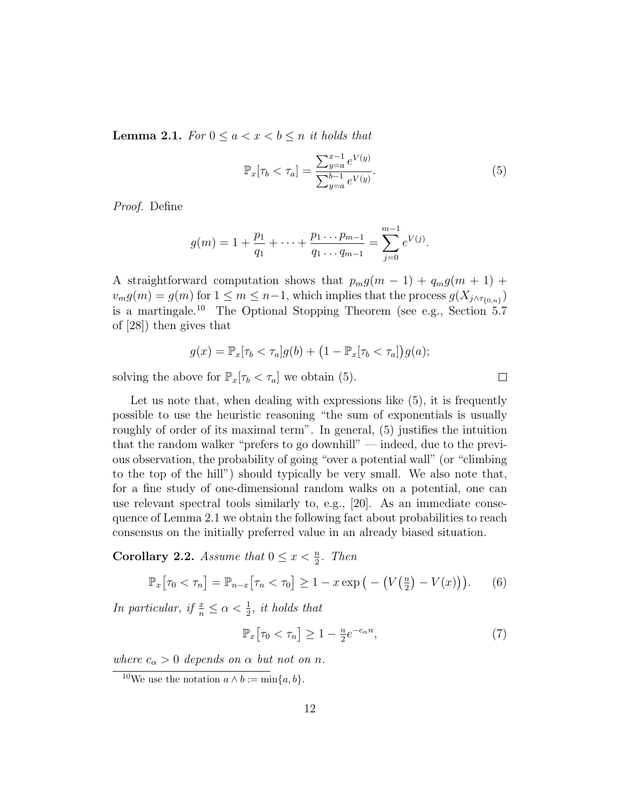**Lemma 2.1.** For  $0 \le a < x < b \le n$  it holds that

$$
\mathbb{P}_x[\tau_b < \tau_a] = \frac{\sum_{y=a}^{x-1} e^{V(y)}}{\sum_{y=a}^{b-1} e^{V(y)}}.\tag{5}
$$

Proof. Define

$$
g(m) = 1 + \frac{p_1}{q_1} + \dots + \frac{p_1 \dots p_{m-1}}{q_1 \dots q_{m-1}} = \sum_{j=0}^{m-1} e^{V(j)}.
$$

A straightforward computation shows that  $p_m g(m-1) + q_m g(m+1) +$  $v_m g(m) = g(m)$  for  $1 \leq m \leq n-1$ , which implies that the process  $g(X_{j \wedge \tau_{\{0,n\}}})$ is a martingale.<sup>10</sup> The Optional Stopping Theorem (see e.g., Section 5.7 of [28]) then gives that

$$
g(x) = \mathbb{P}_x[\tau_b < \tau_a]g(b) + \left(1 - \mathbb{P}_x[\tau_b < \tau_a]\right)g(a);
$$

solving the above for  $\mathbb{P}_x[\tau_b < \tau_a]$  we obtain (5).

Let us note that, when dealing with expressions like  $(5)$ , it is frequently possible to use the heuristic reasoning "the sum of exponentials is usually roughly of order of its maximal term". In general, (5) justifies the intuition that the random walker "prefers to go downhill" — indeed, due to the previous observation, the probability of going "over a potential wall" (or "climbing to the top of the hill") should typically be very small. We also note that, for a fine study of one-dimensional random walks on a potential, one can use relevant spectral tools similarly to, e.g., [20]. As an immediate consequence of Lemma 2.1 we obtain the following fact about probabilities to reach consensus on the initially preferred value in an already biased situation.

**Corollary 2.2.** Assume that  $0 \leq x < \frac{n}{2}$ . Then

$$
\mathbb{P}_x\big[\tau_0 < \tau_n\big] = \mathbb{P}_{n-x}\big[\tau_n < \tau_0\big] \ge 1 - x \exp\big(-\big(V\big(\tfrac{n}{2}\big) - V(x)\big)\big). \tag{6}
$$

In particular, if  $\frac{x}{n} \leq \alpha < \frac{1}{2}$ , it holds that

$$
\mathbb{P}_x\big[\tau_0 < \tau_n\big] \ge 1 - \frac{n}{2} e^{-c_\alpha n},\tag{7}
$$

where  $c_{\alpha} > 0$  depends on  $\alpha$  but not on n.

 $\Box$ 

<sup>&</sup>lt;sup>10</sup>We use the notation  $a \wedge b := \min\{a, b\}.$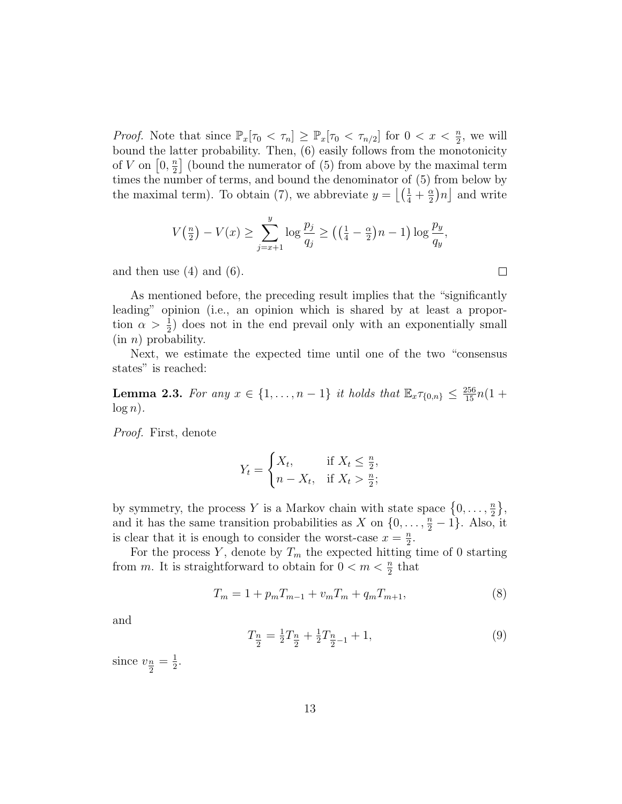*Proof.* Note that since  $\mathbb{P}_x[\tau_0 < \tau_n] \geq \mathbb{P}_x[\tau_0 < \tau_{n/2}]$  for  $0 < x < \frac{n}{2}$ , we will bound the latter probability. Then, (6) easily follows from the monotonicity of V on  $[0, \frac{n}{2}]$  $\frac{n}{2}$  (bound the numerator of (5) from above by the maximal term times the number of terms, and bound the denominator of (5) from below by the maximal term). To obtain (7), we abbreviate  $y = \left[ \left( \frac{1}{4} + \frac{\alpha}{2} \right) \right]$  $\frac{\alpha}{2}$ ) $n$  and write

$$
V(\frac{n}{2}) - V(x) \ge \sum_{j=x+1}^{y} \log \frac{p_j}{q_j} \ge \left( \left( \frac{1}{4} - \frac{\alpha}{2} \right) n - 1 \right) \log \frac{p_y}{q_y},
$$

and then use  $(4)$  and  $(6)$ .

As mentioned before, the preceding result implies that the "significantly leading" opinion (i.e., an opinion which is shared by at least a proportion  $\alpha > \frac{1}{2}$  does not in the end prevail only with an exponentially small  $(in n)$  probability.

Next, we estimate the expected time until one of the two "consensus states" is reached:

**Lemma 2.3.** For any  $x \in \{1, ..., n-1\}$  it holds that  $\mathbb{E}_x \tau_{\{0,n\}} \leq \frac{256}{15} n(1 +$  $log n$ ).

Proof. First, denote

$$
Y_t = \begin{cases} X_t, & \text{if } X_t \le \frac{n}{2}, \\ n - X_t, & \text{if } X_t > \frac{n}{2}; \end{cases}
$$

by symmetry, the process Y is a Markov chain with state space  $\{0, \ldots, \frac{n}{2}\}$  $\frac{n}{2}$ , and it has the same transition probabilities as X on  $\{0, \ldots, \frac{n}{2} - 1\}$ . Also, it is clear that it is enough to consider the worst-case  $x = \frac{n}{2}$  $\frac{n}{2}$ .

For the process Y, denote by  $T_m$  the expected hitting time of 0 starting from m. It is straightforward to obtain for  $0 < m < \frac{n}{2}$  that

$$
T_m = 1 + p_m T_{m-1} + v_m T_m + q_m T_{m+1},
$$
\n(8)

and

$$
T_{\frac{n}{2}} = \frac{1}{2}T_{\frac{n}{2}} + \frac{1}{2}T_{\frac{n}{2}-1} + 1,\tag{9}
$$

since  $v_{\frac{n}{2}} = \frac{1}{2}$  $\frac{1}{2}$ .  $\Box$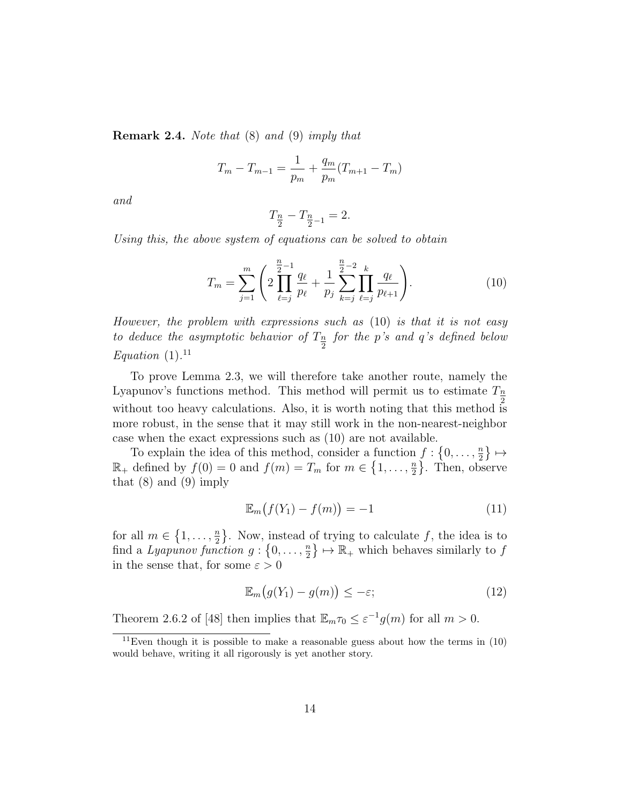Remark 2.4. Note that (8) and (9) imply that

$$
T_m - T_{m-1} = \frac{1}{p_m} + \frac{q_m}{p_m}(T_{m+1} - T_m)
$$

and

$$
T_{\frac{n}{2}} - T_{\frac{n}{2} - 1} = 2.
$$

Using this, the above system of equations can be solved to obtain

$$
T_m = \sum_{j=1}^m \left( 2 \prod_{\ell=j}^{\frac{n}{2}-1} \frac{q_\ell}{p_\ell} + \frac{1}{p_j} \sum_{k=j}^{\frac{n}{2}-2} \prod_{\ell=j}^k \frac{q_\ell}{p_{\ell+1}} \right). \tag{10}
$$

However, the problem with expressions such as (10) is that it is not easy to deduce the asymptotic behavior of  $T_{\frac{n}{2}}$  for the p's and q's defined below Equation  $(1).^{11}$ 

To prove Lemma 2.3, we will therefore take another route, namely the Lyapunov's functions method. This method will permit us to estimate  $T_{\frac{n}{2}}$ without too heavy calculations. Also, it is worth noting that this method is more robust, in the sense that it may still work in the non-nearest-neighbor case when the exact expressions such as (10) are not available.

To explain the idea of this method, consider a function  $f: \{0, \ldots, \frac{n}{2}\}$  $\frac{n}{2}\}\mapsto$  $\mathbb{R}_+$  defined by  $f(0) = 0$  and  $f(m) = T_m$  for  $m \in \{1, \ldots, \frac{m}{2}\}$  $\frac{n}{2}$ . Then, observe that  $(8)$  and  $(9)$  imply

$$
\mathbb{E}_m(f(Y_1) - f(m)) = -1 \tag{11}
$$

for all  $m \in \{1, \ldots, \frac{n}{2}\}$  $\left\{\frac{n}{2}\right\}$ . Now, instead of trying to calculate f, the idea is to find a Lyapunov function  $g: \{0, \ldots, \frac{n}{2}\}$  $\binom{n}{2} \mapsto \mathbb{R}_+$  which behaves similarly to f in the sense that, for some  $\varepsilon > 0$ 

$$
\mathbb{E}_m\big(g(Y_1) - g(m)\big) \le -\varepsilon;\tag{12}
$$

Theorem 2.6.2 of [48] then implies that  $\mathbb{E}_m \tau_0 \leq \varepsilon^{-1} g(m)$  for all  $m > 0$ .

<sup>&</sup>lt;sup>11</sup>Even though it is possible to make a reasonable guess about how the terms in  $(10)$ would behave, writing it all rigorously is yet another story.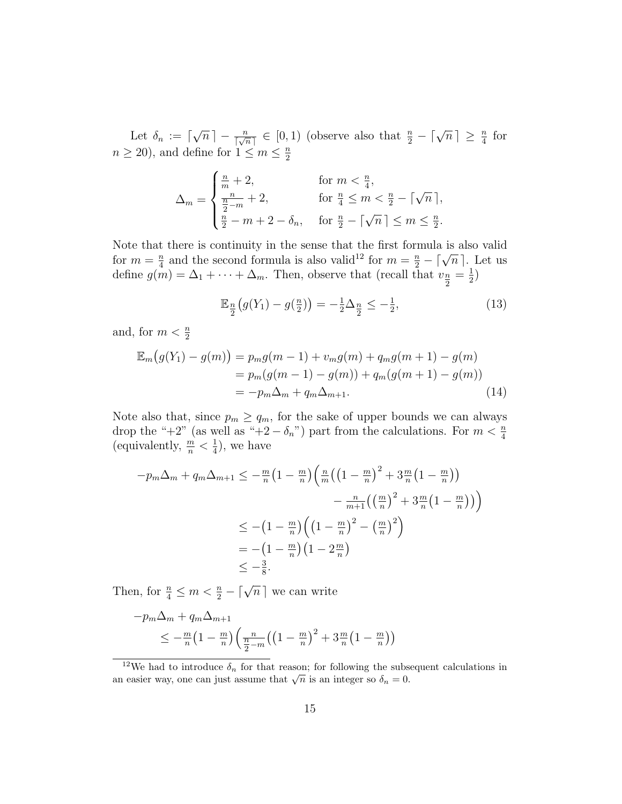Let  $\delta_n := \lceil$  $\sqrt{n}\rceil - \frac{n}{\lceil \sqrt{n} \rceil} \in [0, 1)$  (observe also that  $\frac{n}{2} - \lceil \sqrt{n} \rceil \geq \frac{n}{4}$  for  $n \geq 20$ , and define for  $1 \leq m \leq \frac{n}{2}$ 2

$$
\Delta_m = \begin{cases} \frac{n}{m} + 2, & \text{for } m < \frac{n}{4}, \\ \frac{n}{\frac{n}{2} - m} + 2, & \text{for } \frac{n}{4} \le m < \frac{n}{2} - \lceil \sqrt{n} \rceil, \\ \frac{n}{2} - m + 2 - \delta_n, & \text{for } \frac{n}{2} - \lceil \sqrt{n} \rceil \le m \le \frac{n}{2}. \end{cases}
$$

Note that there is continuity in the sense that the first formula is also valid for  $m = \frac{n}{4}$ t there is continuity in the sense that the first formula is also valid  $\frac{n}{4}$  and the second formula is also valid<sup>12</sup> for  $m = \frac{n}{2} - \lceil \sqrt{n} \rceil$ . Let us define  $g(m) = \Delta_1 + \cdots + \Delta_m$ . Then, observe that (recall that  $v_{\frac{n}{2}} = \frac{1}{2}$ )  $\frac{1}{2})$ 

$$
\mathbb{E}_{\frac{n}{2}}(g(Y_1) - g(\frac{n}{2})) = -\frac{1}{2}\Delta_{\frac{n}{2}} \le -\frac{1}{2},\tag{13}
$$

and, for  $m < \frac{n}{2}$ 

$$
\mathbb{E}_m(g(Y_1) - g(m)) = p_m g(m-1) + v_m g(m) + q_m g(m+1) - g(m)
$$
  
=  $p_m(g(m-1) - g(m)) + q_m(g(m+1) - g(m))$   
=  $-p_m \Delta_m + q_m \Delta_{m+1}$ . (14)

Note also that, since  $p_m \ge q_m$ , for the sake of upper bounds we can always drop the "+2" (as well as "+2 -  $\delta_n$ ") part from the calculations. For  $m < \frac{n}{4}$ (equivalently,  $\frac{m}{n} < \frac{1}{4}$  $(\frac{1}{4})$ , we have

$$
-p_m \Delta_m + q_m \Delta_{m+1} \leq -\frac{m}{n} \left(1 - \frac{m}{n}\right) \left(\frac{n}{m} \left(\left(1 - \frac{m}{n}\right)^2 + 3\frac{m}{n}\left(1 - \frac{m}{n}\right)\right) - \frac{n}{m+1} \left(\left(\frac{m}{n}\right)^2 + 3\frac{m}{n}\left(1 - \frac{m}{n}\right)\right)\right)
$$
  

$$
\leq -\left(1 - \frac{m}{n}\right) \left(\left(1 - \frac{m}{n}\right)^2 - \left(\frac{m}{n}\right)^2\right)
$$
  

$$
= -\left(1 - \frac{m}{n}\right) \left(1 - 2\frac{m}{n}\right)
$$
  

$$
\leq -\frac{3}{8}.
$$

Then, for  $\frac{n}{4} \leq m < \frac{n}{2} - \lceil \sqrt{n} \rceil$  we can write

$$
-p_m \Delta_m + q_m \Delta_{m+1}
$$
  
\$\leq -\frac{m}{n} \left(1 - \frac{m}{n}\right) \left(\frac{n}{\frac{n}{2} - m} \left(\left(1 - \frac{m}{n}\right)^2 + 3\frac{m}{n} \left(1 - \frac{m}{n}\right)\right)\right)\$

<sup>&</sup>lt;sup>12</sup>We had to introduce  $\delta_n$  for that reason; for following the subsequent calculations in we had to introduce  $\sigma_n$  for that reason, for following the substantial can easier way, one can just assume that  $\sqrt{n}$  is an integer so  $\delta_n = 0$ .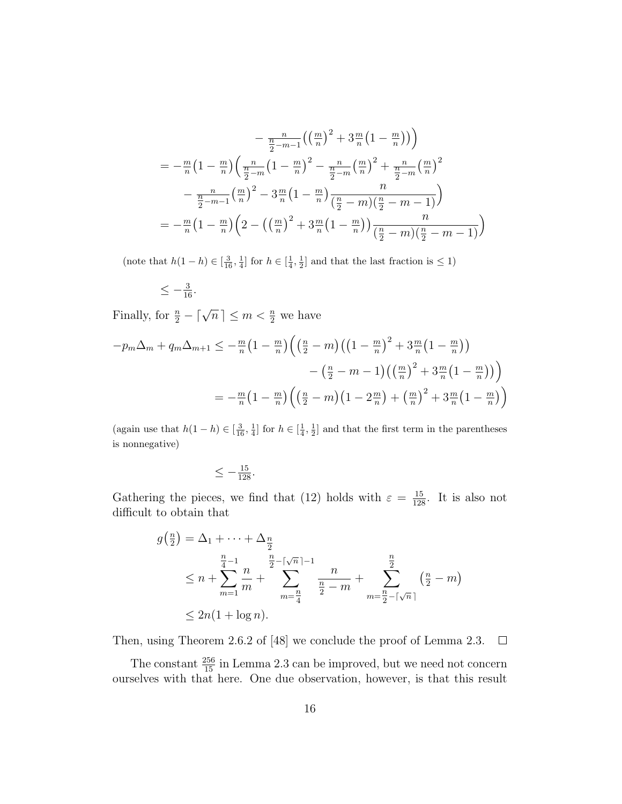$$
-\frac{n}{\frac{n}{2}-m-1}\left(\left(\frac{m}{n}\right)^2 + 3\frac{m}{n}\left(1 - \frac{m}{n}\right)\right)
$$
  
=  $-\frac{m}{n}\left(1 - \frac{m}{n}\right)\left(\frac{n}{\frac{n}{2}-m}\left(1 - \frac{m}{n}\right)^2 - \frac{n}{\frac{n}{2}-m}\left(\frac{m}{n}\right)^2 + \frac{n}{\frac{n}{2}-m}\left(\frac{m}{n}\right)^2\right)$   
 $-\frac{n}{\frac{n}{2}-m-1}\left(\frac{m}{n}\right)^2 - 3\frac{m}{n}\left(1 - \frac{m}{n}\right)\frac{n}{\left(\frac{n}{2}-m\right)\left(\frac{n}{2}-m-1\right)}$   
=  $-\frac{m}{n}\left(1 - \frac{m}{n}\right)\left(2 - \left(\left(\frac{m}{n}\right)^2 + 3\frac{m}{n}\left(1 - \frac{m}{n}\right)\right)\frac{n}{\left(\frac{n}{2}-m\right)\left(\frac{n}{2}-m-1\right)}\right)$ 

(note that  $h(1-h) \in \left[\frac{3}{16}, \frac{1}{4}\right]$  for  $h \in \left[\frac{1}{4}, \frac{1}{2}\right]$  and that the last fraction is  $\leq 1$ )

$$
\leq -\tfrac{3}{16}.
$$

Finally, for  $\frac{n}{2} - \lceil \sqrt{n} \rceil \le m < \frac{n}{2}$  we have

$$
-p_m \Delta_m + q_m \Delta_{m+1} \leq -\frac{m}{n} \left(1 - \frac{m}{n}\right) \left(\left(\frac{n}{2} - m\right) \left(\left(1 - \frac{m}{n}\right)^2 + 3\frac{m}{n} \left(1 - \frac{m}{n}\right)\right) - \left(\frac{n}{2} - m - 1\right) \left(\left(\frac{m}{n}\right)^2 + 3\frac{m}{n} \left(1 - \frac{m}{n}\right)\right)\right)
$$

$$
= -\frac{m}{n} \left(1 - \frac{m}{n}\right) \left(\left(\frac{n}{2} - m\right) \left(1 - 2\frac{m}{n}\right) + \left(\frac{m}{n}\right)^2 + 3\frac{m}{n} \left(1 - \frac{m}{n}\right)\right)
$$

(again use that  $h(1-h) \in \left[\frac{3}{16}, \frac{1}{4}\right]$  for  $h \in \left[\frac{1}{4}, \frac{1}{2}\right]$  and that the first term in the parentheses is nonnegative)

$$
\leq -\tfrac{15}{128}.
$$

Gathering the pieces, we find that (12) holds with  $\varepsilon = \frac{15}{128}$ . It is also not difficult to obtain that

$$
g\left(\frac{n}{2}\right) = \Delta_1 + \dots + \Delta_{\frac{n}{2}}
$$
  
\n
$$
\leq n + \sum_{m=1}^{\frac{n}{4}-1} \frac{n}{m} + \sum_{m=\frac{n}{4}}^{\frac{n}{2}-\lceil \sqrt{n} \rceil-1} \frac{n}{\frac{n}{2}-m} + \sum_{m=\frac{n}{2}-\lceil \sqrt{n} \rceil}^{\frac{n}{2}} \left(\frac{n}{2}-m\right)
$$
  
\n
$$
\leq 2n(1 + \log n).
$$

Then, using Theorem 2.6.2 of [48] we conclude the proof of Lemma 2.3.  $\Box$ 

The constant  $\frac{256}{15}$  in Lemma 2.3 can be improved, but we need not concern ourselves with that here. One due observation, however, is that this result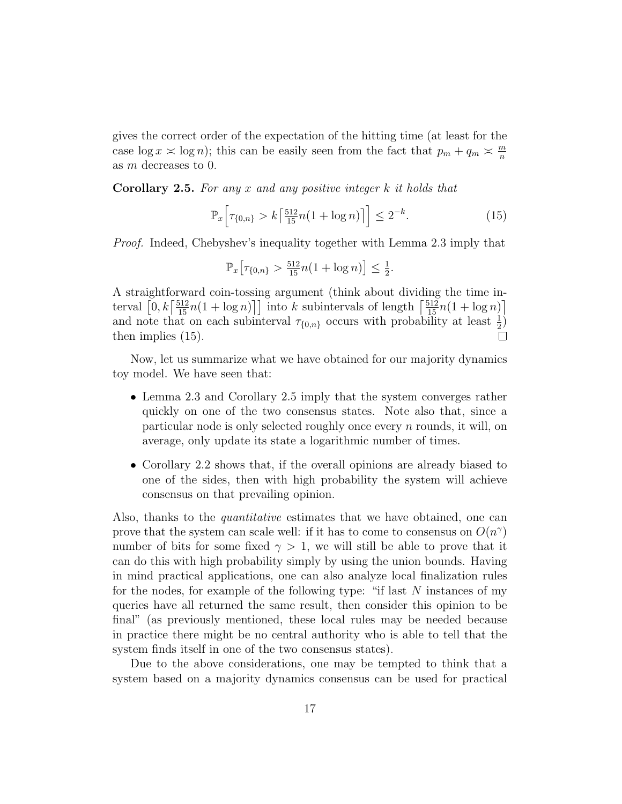gives the correct order of the expectation of the hitting time (at least for the case  $\log x \approx \log n$ ; this can be easily seen from the fact that  $p_m + q_m \approx \frac{m}{n}$ n as m decreases to 0.

Corollary 2.5. For any x and any positive integer k it holds that

$$
\mathbb{P}_x \Big[ \tau_{\{0,n\}} > k \big[ \tfrac{512}{15} n (1 + \log n) \big] \Big] \le 2^{-k}.
$$
 (15)

Proof. Indeed, Chebyshev's inequality together with Lemma 2.3 imply that

$$
\mathbb{P}_x \big[ \tau_{\{0,n\}} > \frac{512}{15} n (1 + \log n) \big] \leq \frac{1}{2}.
$$

A straightforward coin-tossing argument (think about dividing the time interval  $\left[0, k\left\lceil \frac{512}{15}n(1 + \log n)\right\rceil\right]$  into k subintervals of length  $\left\lceil \frac{512}{15}n(1 + \log n)\right\rceil$ and note that on each subinterval  $\tau_{\{0,n\}}$  occurs with probability at least  $\frac{1}{2}$ ) then implies (15).

Now, let us summarize what we have obtained for our majority dynamics toy model. We have seen that:

- Lemma 2.3 and Corollary 2.5 imply that the system converges rather quickly on one of the two consensus states. Note also that, since a particular node is only selected roughly once every  $n$  rounds, it will, on average, only update its state a logarithmic number of times.
- Corollary 2.2 shows that, if the overall opinions are already biased to one of the sides, then with high probability the system will achieve consensus on that prevailing opinion.

Also, thanks to the quantitative estimates that we have obtained, one can prove that the system can scale well: if it has to come to consensus on  $O(n^{\gamma})$ number of bits for some fixed  $\gamma > 1$ , we will still be able to prove that it can do this with high probability simply by using the union bounds. Having in mind practical applications, one can also analyze local finalization rules for the nodes, for example of the following type: "if last  $N$  instances of my queries have all returned the same result, then consider this opinion to be final" (as previously mentioned, these local rules may be needed because in practice there might be no central authority who is able to tell that the system finds itself in one of the two consensus states).

Due to the above considerations, one may be tempted to think that a system based on a majority dynamics consensus can be used for practical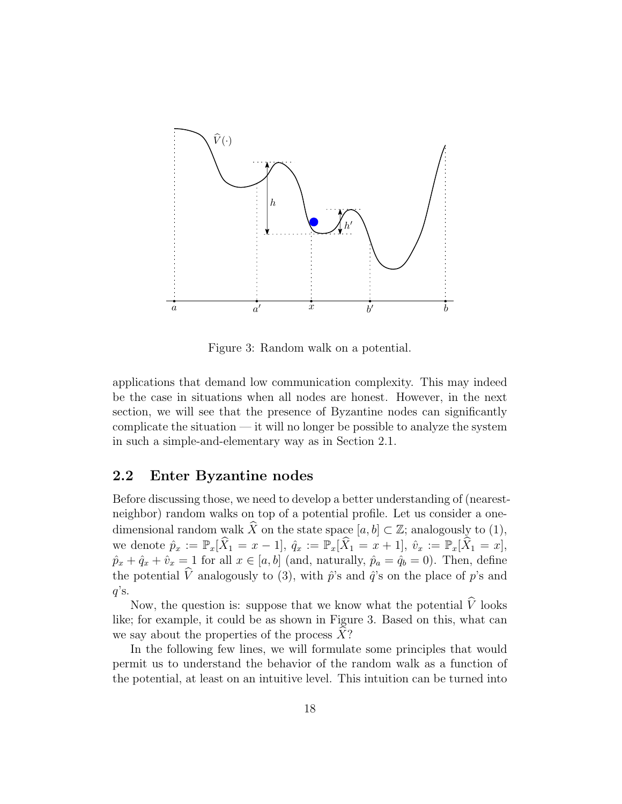

Figure 3: Random walk on a potential.

applications that demand low communication complexity. This may indeed be the case in situations when all nodes are honest. However, in the next section, we will see that the presence of Byzantine nodes can significantly complicate the situation  $-$  it will no longer be possible to analyze the system in such a simple-and-elementary way as in Section 2.1.

#### 2.2 Enter Byzantine nodes

Before discussing those, we need to develop a better understanding of (nearestneighbor) random walks on top of a potential profile. Let us consider a onedimensional random walk  $\widehat{X}$  on the state space  $[a, b] \subset \mathbb{Z}$ ; analogously to (1), we denote  $\hat{p}_x := \mathbb{P}_x[\widehat{X}_1 = x - 1], \hat{q}_x := \mathbb{P}_x[\widehat{X}_1 = x + 1], \hat{v}_x := \mathbb{P}_x[\widehat{X}_1 = x],$  $\hat{p}_x + \hat{q}_x + \hat{v}_x = 1$  for all  $x \in [a, b]$  (and, naturally,  $\hat{p}_a = \hat{q}_b = 0$ ). Then, define the potential  $\hat{V}$  analogously to (3), with  $\hat{p}$ 's and  $\hat{q}$ 's on the place of p's and  $q$ 's.

Now, the question is: suppose that we know what the potential  $\widehat{V}$  looks like; for example, it could be as shown in Figure 3. Based on this, what can we say about the properties of the process  $X$ ?

In the following few lines, we will formulate some principles that would permit us to understand the behavior of the random walk as a function of the potential, at least on an intuitive level. This intuition can be turned into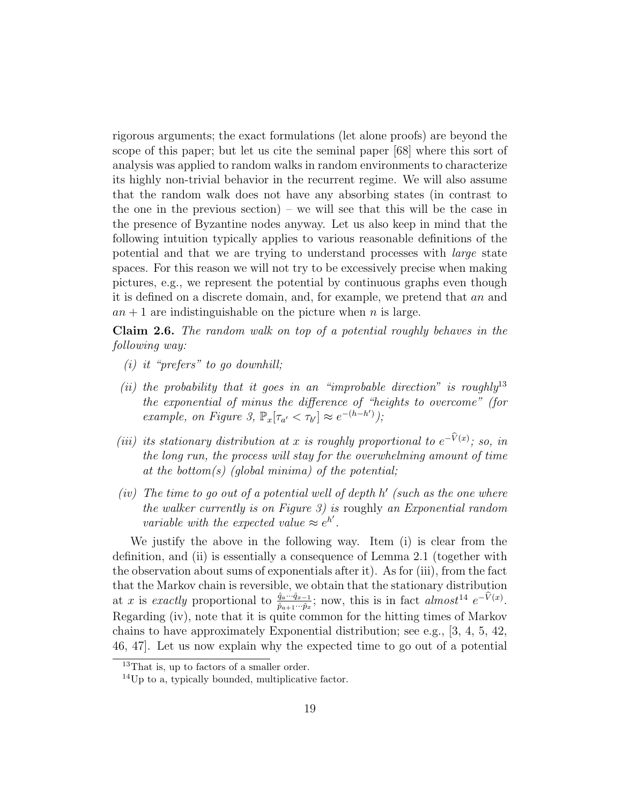rigorous arguments; the exact formulations (let alone proofs) are beyond the scope of this paper; but let us cite the seminal paper [68] where this sort of analysis was applied to random walks in random environments to characterize its highly non-trivial behavior in the recurrent regime. We will also assume that the random walk does not have any absorbing states (in contrast to the one in the previous section) – we will see that this will be the case in the presence of Byzantine nodes anyway. Let us also keep in mind that the following intuition typically applies to various reasonable definitions of the potential and that we are trying to understand processes with large state spaces. For this reason we will not try to be excessively precise when making pictures, e.g., we represent the potential by continuous graphs even though it is defined on a discrete domain, and, for example, we pretend that an and  $an + 1$  are indistinguishable on the picture when n is large.

Claim 2.6. The random walk on top of a potential roughly behaves in the following way:

- (i) it "prefers" to go downhill;
- (ii) the probability that it goes in an "improbable direction" is roughly  $13$ the exponential of minus the difference of "heights to overcome" (for example, on Figure 3,  $\mathbb{P}_x[\tau_{a'} < \tau_{b'}] \approx e^{-(h-h')})$ ;
- (iii) its stationary distribution at x is roughly proportional to  $e^{-V(x)}$ ; so, in the long run, the process will stay for the overwhelming amount of time at the bottom(s) (global minima) of the potential;
- (iv) The time to go out of a potential well of depth  $h'$  (such as the one where the walker currently is on Figure 3) is roughly an Exponential random variable with the expected value  $\approx e^{h'}$ .

We justify the above in the following way. Item (i) is clear from the definition, and (ii) is essentially a consequence of Lemma 2.1 (together with the observation about sums of exponentials after it). As for (iii), from the fact that the Markov chain is reversible, we obtain that the stationary distribution at x is exactly proportional to  $\frac{\hat{q}_a \cdots \hat{q}_{x-1}}{\hat{p}_{a+1} \cdots \hat{p}_x}$ ; now, this is in fact almost<sup>14</sup>  $e^{-\hat{V}(x)}$ . Regarding (iv), note that it is quite common for the hitting times of Markov chains to have approximately Exponential distribution; see e.g., [3, 4, 5, 42, 46, 47]. Let us now explain why the expected time to go out of a potential

<sup>&</sup>lt;sup>13</sup>That is, up to factors of a smaller order.

 $^{14}$ Up to a, typically bounded, multiplicative factor.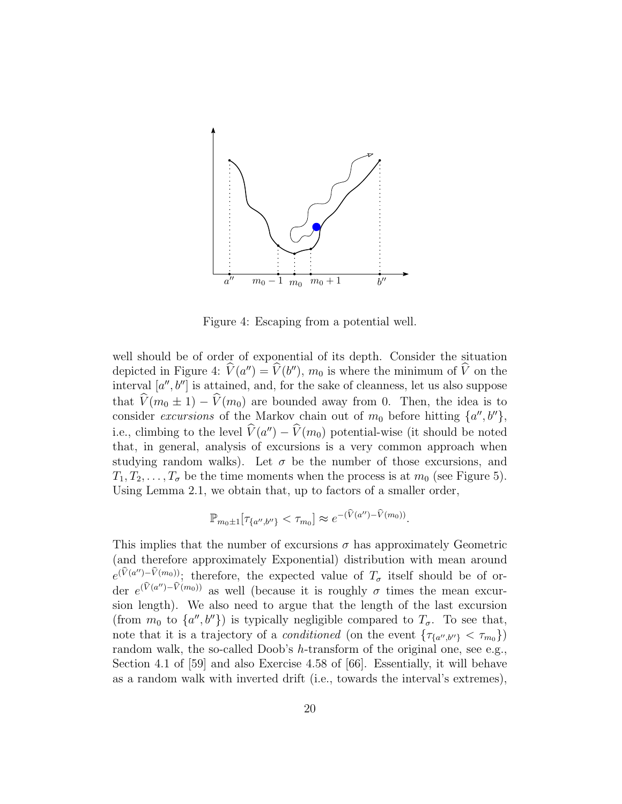

Figure 4: Escaping from a potential well.

well should be of order of exponential of its depth. Consider the situation depicted in Figure 4:  $\hat{V}(a'') = \hat{V}(b'')$ ,  $m_0$  is where the minimum of  $\hat{V}$  on the interval  $[a'', b'']$  is attained, and, for the sake of cleanness, let us also suppose that  $\hat{V}(m_0 \pm 1) - \hat{V}(m_0)$  are bounded away from 0. Then, the idea is to consider excursions of the Markov chain out of  $m_0$  before hitting  $\{a'', b''\},\$ i.e., climbing to the level  $\hat{V}(a'') - \hat{V}(m_0)$  potential-wise (it should be noted that, in general, analysis of excursions is a very common approach when studying random walks). Let  $\sigma$  be the number of those excursions, and  $T_1, T_2, \ldots, T_{\sigma}$  be the time moments when the process is at  $m_0$  (see Figure 5). Using Lemma 2.1, we obtain that, up to factors of a smaller order,

$$
\mathbb{P}_{m_0 \pm 1}[\tau_{\{a'',b''\}} < \tau_{m_0}] \approx e^{-(\hat{V}(a'') - \hat{V}(m_0))}.
$$

This implies that the number of excursions  $\sigma$  has approximately Geometric (and therefore approximately Exponential) distribution with mean around  $e^{(\hat{V}(a'')-\hat{V}(m_0))}$ ; therefore, the expected value of  $T_{\sigma}$  itself should be of order  $e^{(\hat{V}(a'')-\hat{V}(m_0))}$  as well (because it is roughly  $\sigma$  times the mean excursion length). We also need to argue that the length of the last excursion (from  $m_0$  to  $\{a'', b''\}$ ) is typically negligible compared to  $T_{\sigma}$ . To see that, note that it is a trajectory of a *conditioned* (on the event  $\{\tau_{\{a'',b''\}} < \tau_{m_0}\}\$ ) random walk, the so-called Doob's h-transform of the original one, see e.g., Section 4.1 of [59] and also Exercise 4.58 of [66]. Essentially, it will behave as a random walk with inverted drift (i.e., towards the interval's extremes),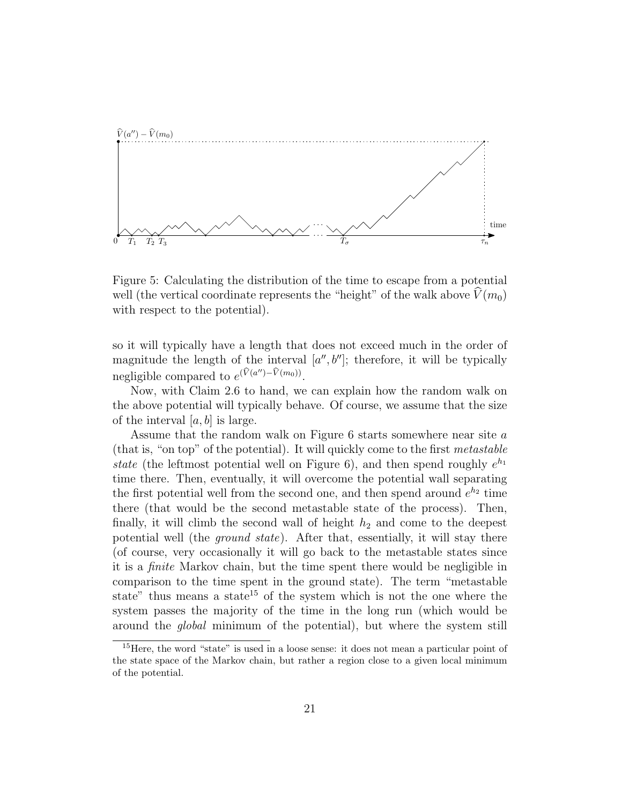

Figure 5: Calculating the distribution of the time to escape from a potential well (the vertical coordinate represents the "height" of the walk above  $\hat{V}(m_0)$ with respect to the potential).

so it will typically have a length that does not exceed much in the order of magnitude the length of the interval  $[a'', b'']$ ; therefore, it will be typically negligible compared to  $e^{(\hat{V}(a'')-\hat{V}(m_0))}$ .

Now, with Claim 2.6 to hand, we can explain how the random walk on the above potential will typically behave. Of course, we assume that the size of the interval  $[a, b]$  is large.

Assume that the random walk on Figure 6 starts somewhere near site a (that is, "on top" of the potential). It will quickly come to the first metastable state (the leftmost potential well on Figure 6), and then spend roughly  $e^{h_1}$ time there. Then, eventually, it will overcome the potential wall separating the first potential well from the second one, and then spend around  $e^{h_2}$  time there (that would be the second metastable state of the process). Then, finally, it will climb the second wall of height  $h_2$  and come to the deepest potential well (the ground state). After that, essentially, it will stay there (of course, very occasionally it will go back to the metastable states since it is a finite Markov chain, but the time spent there would be negligible in comparison to the time spent in the ground state). The term "metastable state" thus means a state<sup>15</sup> of the system which is not the one where the system passes the majority of the time in the long run (which would be around the global minimum of the potential), but where the system still

<sup>15</sup>Here, the word "state" is used in a loose sense: it does not mean a particular point of the state space of the Markov chain, but rather a region close to a given local minimum of the potential.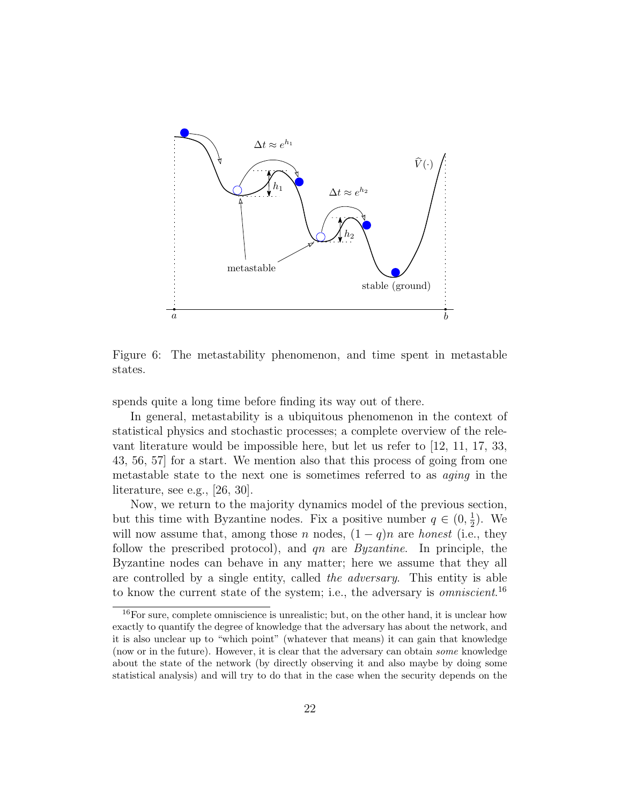

Figure 6: The metastability phenomenon, and time spent in metastable states.

spends quite a long time before finding its way out of there.

In general, metastability is a ubiquitous phenomenon in the context of statistical physics and stochastic processes; a complete overview of the relevant literature would be impossible here, but let us refer to [12, 11, 17, 33, 43, 56, 57] for a start. We mention also that this process of going from one metastable state to the next one is sometimes referred to as aging in the literature, see e.g., [26, 30].

Now, we return to the majority dynamics model of the previous section, but this time with Byzantine nodes. Fix a positive number  $q \in (0, \frac{1}{2})$  $\frac{1}{2}$ ). We will now assume that, among those n nodes,  $(1-q)n$  are honest (i.e., they follow the prescribed protocol), and  $qn$  are *Byzantine*. In principle, the Byzantine nodes can behave in any matter; here we assume that they all are controlled by a single entity, called the adversary. This entity is able to know the current state of the system; i.e., the adversary is *omniscient*.<sup>16</sup>

<sup>&</sup>lt;sup>16</sup>For sure, complete omniscience is unrealistic; but, on the other hand, it is unclear how exactly to quantify the degree of knowledge that the adversary has about the network, and it is also unclear up to "which point" (whatever that means) it can gain that knowledge (now or in the future). However, it is clear that the adversary can obtain some knowledge about the state of the network (by directly observing it and also maybe by doing some statistical analysis) and will try to do that in the case when the security depends on the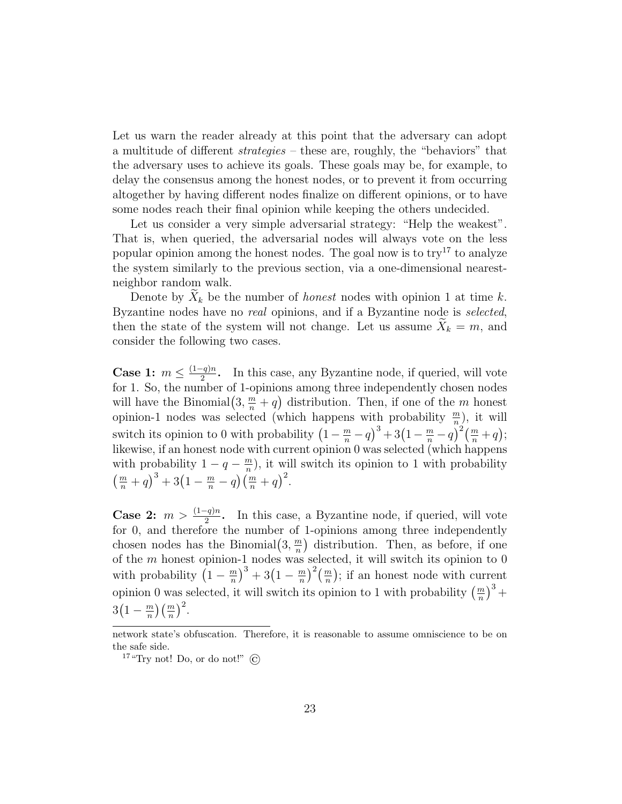Let us warn the reader already at this point that the adversary can adopt a multitude of different strategies – these are, roughly, the "behaviors" that the adversary uses to achieve its goals. These goals may be, for example, to delay the consensus among the honest nodes, or to prevent it from occurring altogether by having different nodes finalize on different opinions, or to have some nodes reach their final opinion while keeping the others undecided.

Let us consider a very simple adversarial strategy: "Help the weakest". That is, when queried, the adversarial nodes will always vote on the less popular opinion among the honest nodes. The goal now is to  $try<sup>17</sup>$  to analyze the system similarly to the previous section, via a one-dimensional nearestneighbor random walk.

Denote by  $\tilde{X}_k$  be the number of *honest* nodes with opinion 1 at time k. Byzantine nodes have no real opinions, and if a Byzantine node is selected, then the state of the system will not change. Let us assume  $X_k = m$ , and consider the following two cases.

Case 1:  $m \leq \frac{(1-q)n}{2}$  $\frac{q}{2}$ . In this case, any Byzantine node, if queried, will vote for 1. So, the number of 1-opinions among three independently chosen nodes will have the Binomial $(3, \frac{m}{n} + q)$  distribution. Then, if one of the m honest opinion-1 nodes was selected (which happens with probability  $\frac{m}{n}$ ), it will switch its opinion to 0 with probability  $\left(1 - \frac{m}{n} - q\right)^3 + 3\left(1 - \frac{m}{n} - q\right)^2 \left(\frac{m}{n} + q\right);$ likewise, if an honest node with current opinion 0 was selected (which happens with probability  $1 - q - \frac{m}{n}$  $\frac{m}{n}$ , it will switch its opinion to 1 with probability  $\left(\frac{m}{n}+q\right)^3+3\left(1-\frac{m}{n}-q\right)\left(\frac{m}{n}+q\right)^2.$ 

**Case 2:**  $m > \frac{(1-q)n}{2}$ . In this case, a Byzantine node, if queried, will vote for 0, and therefore the number of 1-opinions among three independently chosen nodes has the Binomial $(3, \frac{m}{n})$  $\frac{m}{n}$ ) distribution. Then, as before, if one of the  $m$  honest opinion-1 nodes was selected, it will switch its opinion to 0 with probability  $\left(1-\frac{m}{n}\right)$  $\left(\frac{m}{n}\right)^3 + 3\left(1 - \frac{m}{n}\right)$  $\left(\frac{m}{n}\right)^2\left(\frac{m}{n}\right)$ ; if an honest node with current opinion 0 was selected, it will switch its opinion to 1 with probability  $\left(\frac{m}{n}\right)^3$  +  $3(1-\frac{m}{n})$  $\frac{m}{n}$  $\left(\frac{m}{n}\right)^2$ .

network state's obfuscation. Therefore, it is reasonable to assume omniscience to be on the safe side.

<sup>&</sup>lt;sup>17</sup> "Try not! Do, or do not!"  $\odot$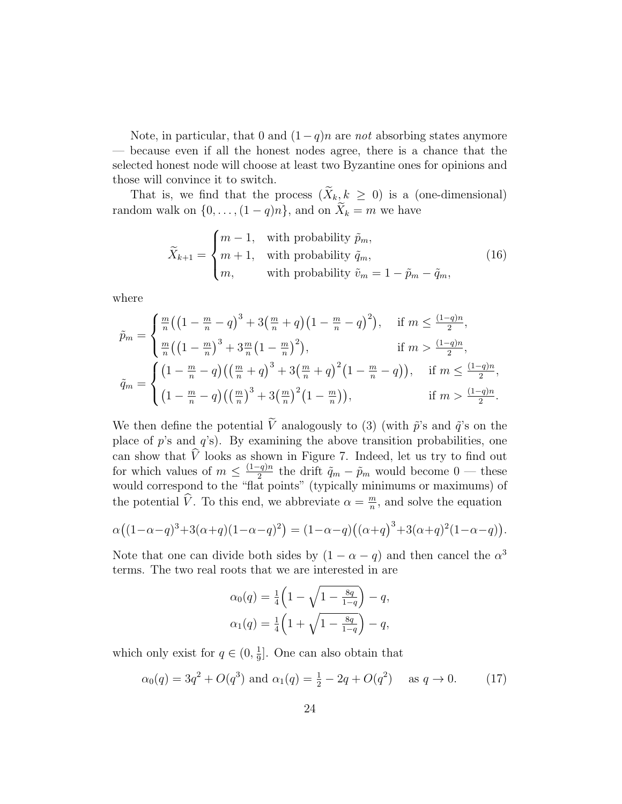Note, in particular, that 0 and  $(1-q)n$  are not absorbing states anymore — because even if all the honest nodes agree, there is a chance that the selected honest node will choose at least two Byzantine ones for opinions and those will convince it to switch.

That is, we find that the process  $(X_k, k \geq 0)$  is a (one-dimensional) random walk on  $\{0, \ldots, (1 - q)n\}$ , and on  $X_k = m$  we have

$$
\widetilde{X}_{k+1} = \begin{cases}\nm - 1, & \text{with probability } \widetilde{p}_m, \\
m + 1, & \text{with probability } \widetilde{q}_m, \\
m, & \text{with probability } \widetilde{v}_m = 1 - \widetilde{p}_m - \widetilde{q}_m,\n\end{cases}
$$
\n(16)

where

$$
\tilde{p}_m = \begin{cases}\n\frac{m}{n} \left( \left( 1 - \frac{m}{n} - q \right)^3 + 3 \left( \frac{m}{n} + q \right) \left( 1 - \frac{m}{n} - q \right)^2 \right), & \text{if } m \le \frac{(1-q)n}{2}, \\
\frac{m}{n} \left( \left( 1 - \frac{m}{n} \right)^3 + 3 \frac{m}{n} \left( 1 - \frac{m}{n} \right)^2 \right), & \text{if } m > \frac{(1-q)n}{2}, \\
\tilde{q}_m = \begin{cases}\n\left( 1 - \frac{m}{n} - q \right) \left( \left( \frac{m}{n} + q \right)^3 + 3 \left( \frac{m}{n} + q \right)^2 \left( 1 - \frac{m}{n} - q \right) \right), & \text{if } m \le \frac{(1-q)n}{2}, \\
\left( 1 - \frac{m}{n} - q \right) \left( \left( \frac{m}{n} \right)^3 + 3 \left( \frac{m}{n} \right)^2 \left( 1 - \frac{m}{n} \right) \right), & \text{if } m > \frac{(1-q)n}{2}.\n\end{cases}
$$

We then define the potential  $\tilde{V}$  analogously to (3) (with  $\tilde{p}$ 's and  $\tilde{q}$ 's on the place of  $p$ 's and  $q$ 's). By examining the above transition probabilities, one can show that V looks as shown in Figure 7. Indeed, let us try to find out for which values of  $m \leq \frac{(1-q)n}{2}$  $\frac{q}{2}$  the drift  $\tilde{q}_m - \tilde{p}_m$  would become 0 — these would correspond to the "flat points" (typically minimums or maximums) of the potential  $\hat{V}$ . To this end, we abbreviate  $\alpha = \frac{m}{n}$  $\frac{m}{n}$ , and solve the equation

$$
\alpha((1-\alpha-q)^3+3(\alpha+q)(1-\alpha-q)^2)=(1-\alpha-q)((\alpha+q)^3+3(\alpha+q)^2(1-\alpha-q)).
$$

Note that one can divide both sides by  $(1 - \alpha - q)$  and then cancel the  $\alpha^3$ terms. The two real roots that we are interested in are

$$
\alpha_0(q) = \frac{1}{4} \left( 1 - \sqrt{1 - \frac{8q}{1-q}} \right) - q,
$$
  
\n
$$
\alpha_1(q) = \frac{1}{4} \left( 1 + \sqrt{1 - \frac{8q}{1-q}} \right) - q,
$$

which only exist for  $q \in (0, \frac{1}{9})$  $\frac{1}{9}$ . One can also obtain that

$$
\alpha_0(q) = 3q^2 + O(q^3)
$$
 and  $\alpha_1(q) = \frac{1}{2} - 2q + O(q^2)$  as  $q \to 0$ . (17)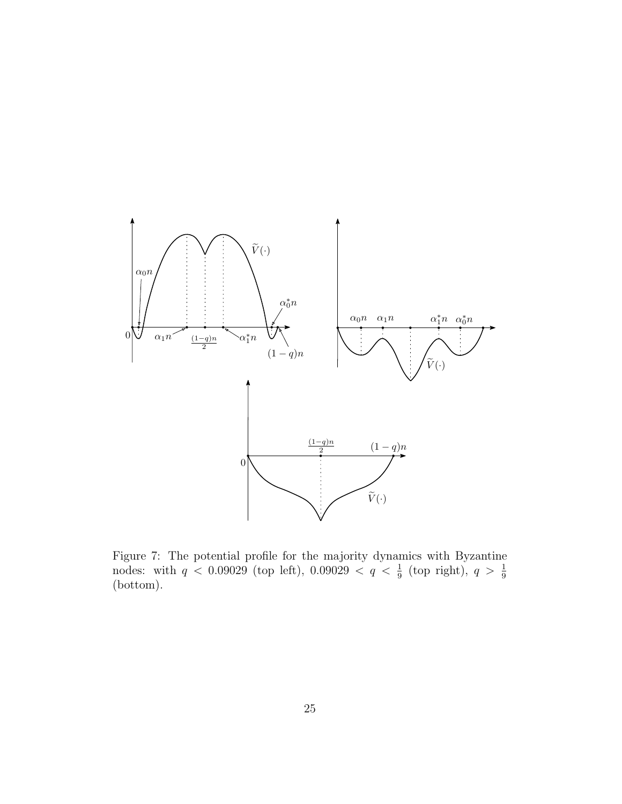

Figure 7: The potential profile for the majority dynamics with Byzantine nodes: with  $q < 0.09029$  (top left),  $0.09029 < q < \frac{1}{9}$  (top right),  $q > \frac{1}{9}$ (bottom).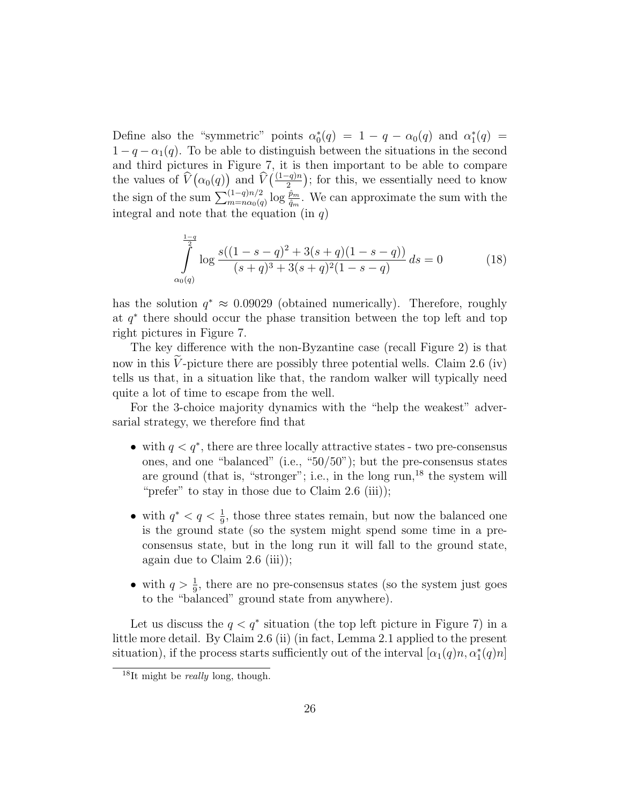Define also the "symmetric" points  $\alpha_0^*(q) = 1 - q - \alpha_0(q)$  and  $\alpha_1^*(q) =$  $1 - q - \alpha_1(q)$ . To be able to distinguish between the situations in the second and third pictures in Figure 7, it is then important to be able to compare the values of  $\widehat{V}(\alpha_0(q))$  and  $\widehat{V}(\frac{(1-q)n}{2})$ ; for this, we essentially need to know the sign of the sum  $\sum_{m=n\alpha_0(q)}^{(1-q)n/2} \log \frac{\hat{p}_m}{\hat{q}_m}$ . We can approximate the sum with the integral and note that the equation (in  $q$ )

$$
\int_{\alpha_0(q)}^{\frac{1-q}{2}} \log \frac{s((1-s-q)^2 + 3(s+q)(1-s-q))}{(s+q)^3 + 3(s+q)^2(1-s-q)} ds = 0
$$
 (18)

has the solution  $q^* \approx 0.09029$  (obtained numerically). Therefore, roughly at q ∗ there should occur the phase transition between the top left and top right pictures in Figure 7.

The key difference with the non-Byzantine case (recall Figure 2) is that now in this  $\tilde{V}$ -picture there are possibly three potential wells. Claim 2.6 (iv) tells us that, in a situation like that, the random walker will typically need quite a lot of time to escape from the well.

For the 3-choice majority dynamics with the "help the weakest" adversarial strategy, we therefore find that

- with  $q < q^*$ , there are three locally attractive states two pre-consensus ones, and one "balanced" (i.e., "50/50"); but the pre-consensus states are ground (that is, "stronger"; i.e., in the long run, $^{18}$  the system will "prefer" to stay in those due to Claim  $2.6$  (iii));
- with  $q^* < q < \frac{1}{9}$ , those three states remain, but now the balanced one is the ground state (so the system might spend some time in a preconsensus state, but in the long run it will fall to the ground state, again due to Claim  $2.6$  (iii));
- with  $q > \frac{1}{9}$ , there are no pre-consensus states (so the system just goes to the "balanced" ground state from anywhere).

Let us discuss the  $q < q^*$  situation (the top left picture in Figure 7) in a little more detail. By Claim 2.6 (ii) (in fact, Lemma 2.1 applied to the present situation), if the process starts sufficiently out of the interval  $[\alpha_1(q)n, \alpha_1^*(q)n]$ 

<sup>&</sup>lt;sup>18</sup>It might be *really* long, though.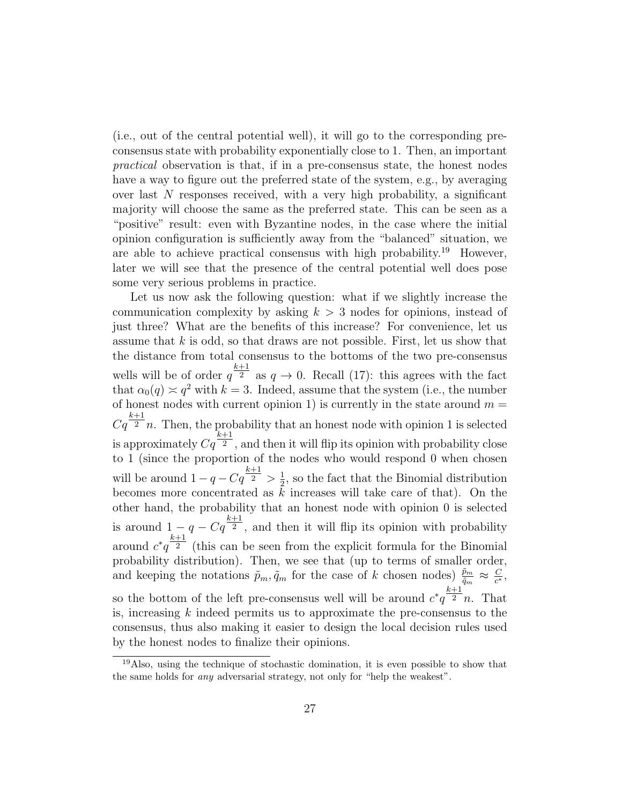(i.e., out of the central potential well), it will go to the corresponding preconsensus state with probability exponentially close to 1. Then, an important practical observation is that, if in a pre-consensus state, the honest nodes have a way to figure out the preferred state of the system, e.g., by averaging over last  $N$  responses received, with a very high probability, a significant majority will choose the same as the preferred state. This can be seen as a "positive" result: even with Byzantine nodes, in the case where the initial opinion configuration is sufficiently away from the "balanced" situation, we are able to achieve practical consensus with high probability.<sup>19</sup> However, later we will see that the presence of the central potential well does pose some very serious problems in practice.

Let us now ask the following question: what if we slightly increase the communication complexity by asking  $k > 3$  nodes for opinions, instead of just three? What are the benefits of this increase? For convenience, let us assume that  $k$  is odd, so that draws are not possible. First, let us show that the distance from total consensus to the bottoms of the two pre-consensus wells will be of order  $q^{\frac{k+1}{2}}$  as  $q \to 0$ . Recall (17): this agrees with the fact that  $\alpha_0(q) \approx q^2$  with  $k = 3$ . Indeed, assume that the system (i.e., the number of honest nodes with current opinion 1) is currently in the state around  $m =$  $Cq^{\frac{k+1}{2}}n$ . Then, the probability that an honest node with opinion 1 is selected is approximately  $Cq^{\frac{k+1}{2}}$ , and then it will flip its opinion with probability close to 1 (since the proportion of the nodes who would respond 0 when chosen will be around  $1-q-Cq^{\frac{k+1}{2}} > \frac{1}{2}$  $\frac{1}{2}$ , so the fact that the Binomial distribution becomes more concentrated as  $k$  increases will take care of that). On the other hand, the probability that an honest node with opinion 0 is selected is around  $1 - q - Cq^{\frac{k+1}{2}}$ , and then it will flip its opinion with probability around  $c^*q^{\frac{k+1}{2}}$  (this can be seen from the explicit formula for the Binomial probability distribution). Then, we see that (up to terms of smaller order, and keeping the notations  $\tilde{p}_m, \tilde{q}_m$  for the case of k chosen nodes)  $\frac{\tilde{p}_m}{\tilde{q}_m} \approx \frac{C}{c^*}$  $\frac{C}{c^*}$ , so the bottom of the left pre-consensus well will be around  $c^*q^{\frac{k+1}{2}}n$ . That is, increasing  $k$  indeed permits us to approximate the pre-consensus to the consensus, thus also making it easier to design the local decision rules used by the honest nodes to finalize their opinions.

<sup>&</sup>lt;sup>19</sup>Also, using the technique of stochastic domination, it is even possible to show that the same holds for any adversarial strategy, not only for "help the weakest".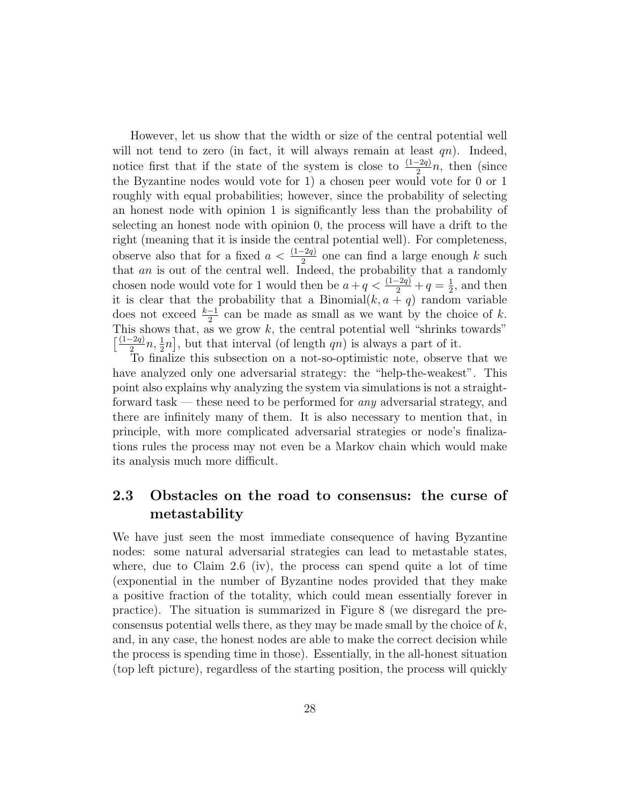However, let us show that the width or size of the central potential well will not tend to zero (in fact, it will always remain at least  $qn$ ). Indeed, notice first that if the state of the system is close to  $\frac{(1-2q)}{2}n$ , then (since the Byzantine nodes would vote for 1) a chosen peer would vote for 0 or 1 roughly with equal probabilities; however, since the probability of selecting an honest node with opinion 1 is significantly less than the probability of selecting an honest node with opinion 0, the process will have a drift to the right (meaning that it is inside the central potential well). For completeness, observe also that for a fixed  $a < \frac{(1-2q)}{2}$  one can find a large enough k such that an is out of the central well. Indeed, the probability that a randomly chosen node would vote for 1 would then be  $a + q < \frac{(1-2q)}{2} + q = \frac{1}{2}$  $\frac{1}{2}$ , and then it is clear that the probability that a Binomial $(k, a + q)$  random variable does not exceed  $\frac{k-1}{2}$  can be made as small as we want by the choice of k. This shows that, as we grow  $k$ , the central potential well "shrinks towards"  $\int \frac{(1-2q)}{2}$  $\frac{-2q}{2}n, \frac{1}{2}n$ , but that interval (of length qn) is always a part of it.

To finalize this subsection on a not-so-optimistic note, observe that we have analyzed only one adversarial strategy: the "help-the-weakest". This point also explains why analyzing the system via simulations is not a straightforward task — these need to be performed for any adversarial strategy, and there are infinitely many of them. It is also necessary to mention that, in principle, with more complicated adversarial strategies or node's finalizations rules the process may not even be a Markov chain which would make its analysis much more difficult.

### 2.3 Obstacles on the road to consensus: the curse of metastability

We have just seen the most immediate consequence of having Byzantine nodes: some natural adversarial strategies can lead to metastable states, where, due to Claim 2.6 (iv), the process can spend quite a lot of time (exponential in the number of Byzantine nodes provided that they make a positive fraction of the totality, which could mean essentially forever in practice). The situation is summarized in Figure 8 (we disregard the preconsensus potential wells there, as they may be made small by the choice of  $k$ , and, in any case, the honest nodes are able to make the correct decision while the process is spending time in those). Essentially, in the all-honest situation (top left picture), regardless of the starting position, the process will quickly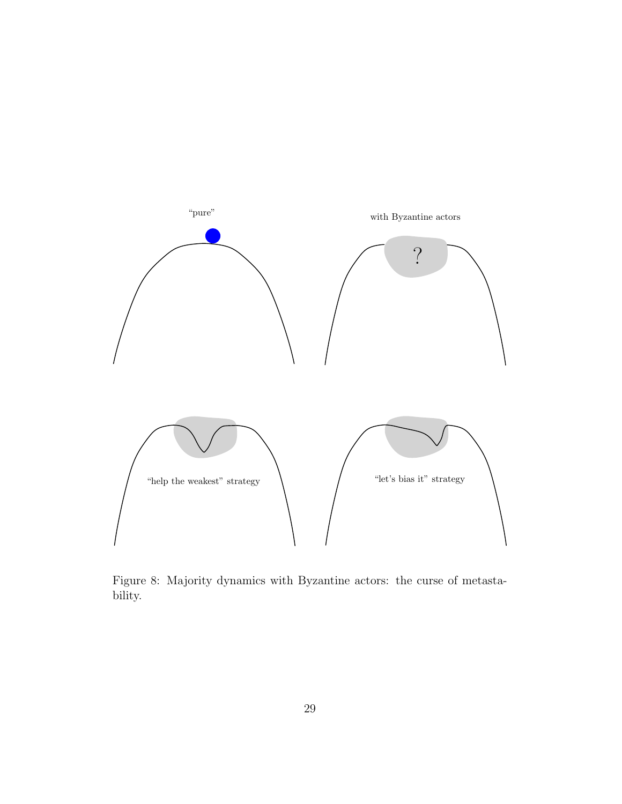

Figure 8: Majority dynamics with Byzantine actors: the curse of metastability.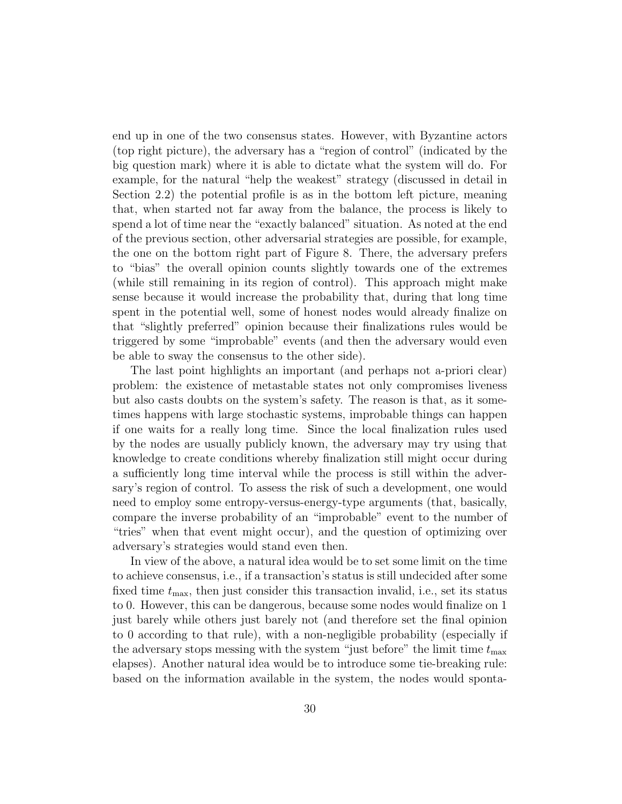end up in one of the two consensus states. However, with Byzantine actors (top right picture), the adversary has a "region of control" (indicated by the big question mark) where it is able to dictate what the system will do. For example, for the natural "help the weakest" strategy (discussed in detail in Section 2.2) the potential profile is as in the bottom left picture, meaning that, when started not far away from the balance, the process is likely to spend a lot of time near the "exactly balanced" situation. As noted at the end of the previous section, other adversarial strategies are possible, for example, the one on the bottom right part of Figure 8. There, the adversary prefers to "bias" the overall opinion counts slightly towards one of the extremes (while still remaining in its region of control). This approach might make sense because it would increase the probability that, during that long time spent in the potential well, some of honest nodes would already finalize on that "slightly preferred" opinion because their finalizations rules would be triggered by some "improbable" events (and then the adversary would even be able to sway the consensus to the other side).

The last point highlights an important (and perhaps not a-priori clear) problem: the existence of metastable states not only compromises liveness but also casts doubts on the system's safety. The reason is that, as it sometimes happens with large stochastic systems, improbable things can happen if one waits for a really long time. Since the local finalization rules used by the nodes are usually publicly known, the adversary may try using that knowledge to create conditions whereby finalization still might occur during a sufficiently long time interval while the process is still within the adversary's region of control. To assess the risk of such a development, one would need to employ some entropy-versus-energy-type arguments (that, basically, compare the inverse probability of an "improbable" event to the number of "tries" when that event might occur), and the question of optimizing over adversary's strategies would stand even then.

In view of the above, a natural idea would be to set some limit on the time to achieve consensus, i.e., if a transaction's status is still undecided after some fixed time  $t_{\text{max}}$ , then just consider this transaction invalid, i.e., set its status to 0. However, this can be dangerous, because some nodes would finalize on 1 just barely while others just barely not (and therefore set the final opinion to 0 according to that rule), with a non-negligible probability (especially if the adversary stops messing with the system "just before" the limit time  $t_{\text{max}}$ elapses). Another natural idea would be to introduce some tie-breaking rule: based on the information available in the system, the nodes would sponta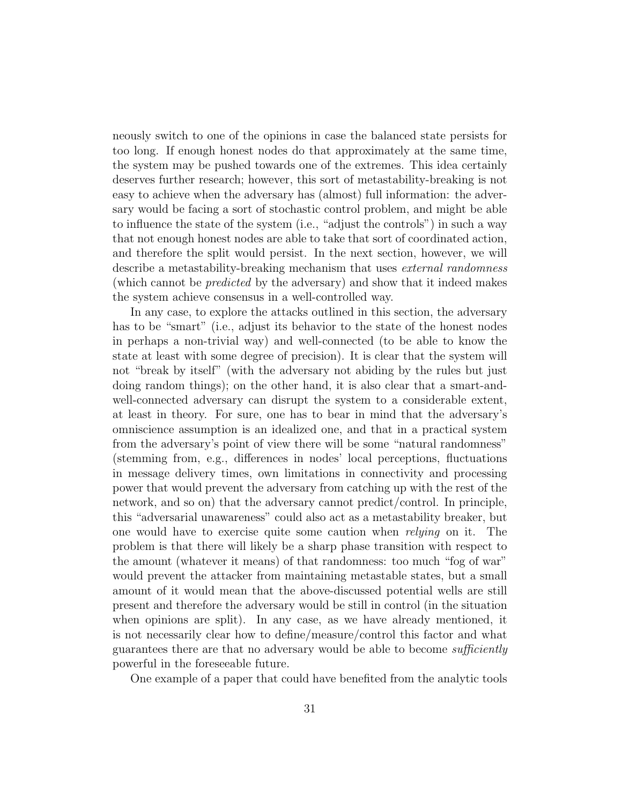neously switch to one of the opinions in case the balanced state persists for too long. If enough honest nodes do that approximately at the same time, the system may be pushed towards one of the extremes. This idea certainly deserves further research; however, this sort of metastability-breaking is not easy to achieve when the adversary has (almost) full information: the adversary would be facing a sort of stochastic control problem, and might be able to influence the state of the system (i.e., "adjust the controls") in such a way that not enough honest nodes are able to take that sort of coordinated action, and therefore the split would persist. In the next section, however, we will describe a metastability-breaking mechanism that uses *external randomness* (which cannot be predicted by the adversary) and show that it indeed makes the system achieve consensus in a well-controlled way.

In any case, to explore the attacks outlined in this section, the adversary has to be "smart" (i.e., adjust its behavior to the state of the honest nodes in perhaps a non-trivial way) and well-connected (to be able to know the state at least with some degree of precision). It is clear that the system will not "break by itself" (with the adversary not abiding by the rules but just doing random things); on the other hand, it is also clear that a smart-andwell-connected adversary can disrupt the system to a considerable extent, at least in theory. For sure, one has to bear in mind that the adversary's omniscience assumption is an idealized one, and that in a practical system from the adversary's point of view there will be some "natural randomness" (stemming from, e.g., differences in nodes' local perceptions, fluctuations in message delivery times, own limitations in connectivity and processing power that would prevent the adversary from catching up with the rest of the network, and so on) that the adversary cannot predict/control. In principle, this "adversarial unawareness" could also act as a metastability breaker, but one would have to exercise quite some caution when relying on it. The problem is that there will likely be a sharp phase transition with respect to the amount (whatever it means) of that randomness: too much "fog of war" would prevent the attacker from maintaining metastable states, but a small amount of it would mean that the above-discussed potential wells are still present and therefore the adversary would be still in control (in the situation when opinions are split). In any case, as we have already mentioned, it is not necessarily clear how to define/measure/control this factor and what guarantees there are that no adversary would be able to become *sufficiently* powerful in the foreseeable future.

One example of a paper that could have benefited from the analytic tools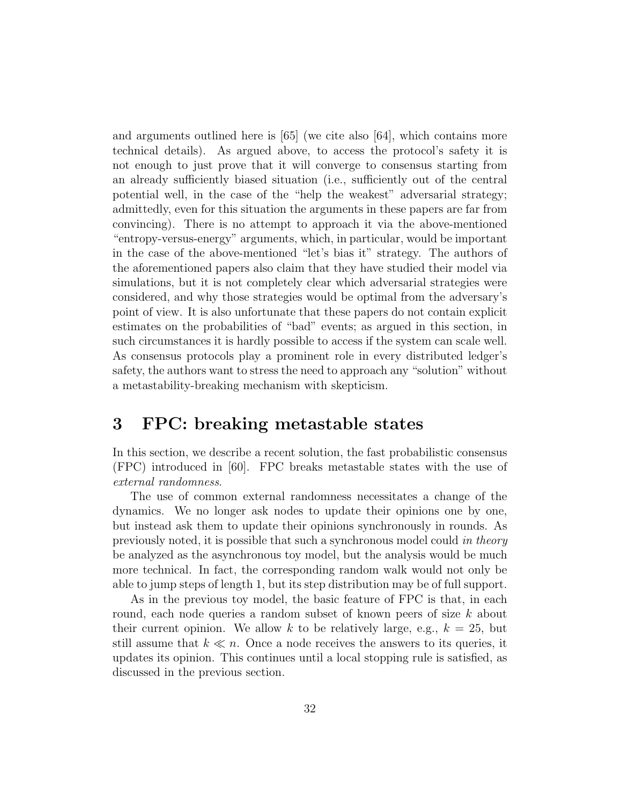and arguments outlined here is [65] (we cite also [64], which contains more technical details). As argued above, to access the protocol's safety it is not enough to just prove that it will converge to consensus starting from an already sufficiently biased situation (i.e., sufficiently out of the central potential well, in the case of the "help the weakest" adversarial strategy; admittedly, even for this situation the arguments in these papers are far from convincing). There is no attempt to approach it via the above-mentioned "entropy-versus-energy" arguments, which, in particular, would be important in the case of the above-mentioned "let's bias it" strategy. The authors of the aforementioned papers also claim that they have studied their model via simulations, but it is not completely clear which adversarial strategies were considered, and why those strategies would be optimal from the adversary's point of view. It is also unfortunate that these papers do not contain explicit estimates on the probabilities of "bad" events; as argued in this section, in such circumstances it is hardly possible to access if the system can scale well. As consensus protocols play a prominent role in every distributed ledger's safety, the authors want to stress the need to approach any "solution" without a metastability-breaking mechanism with skepticism.

### 3 FPC: breaking metastable states

In this section, we describe a recent solution, the fast probabilistic consensus (FPC) introduced in [60]. FPC breaks metastable states with the use of external randomness.

The use of common external randomness necessitates a change of the dynamics. We no longer ask nodes to update their opinions one by one, but instead ask them to update their opinions synchronously in rounds. As previously noted, it is possible that such a synchronous model could in theory be analyzed as the asynchronous toy model, but the analysis would be much more technical. In fact, the corresponding random walk would not only be able to jump steps of length 1, but its step distribution may be of full support.

As in the previous toy model, the basic feature of FPC is that, in each round, each node queries a random subset of known peers of size k about their current opinion. We allow k to be relatively large, e.g.,  $k = 25$ , but still assume that  $k \ll n$ . Once a node receives the answers to its queries, it updates its opinion. This continues until a local stopping rule is satisfied, as discussed in the previous section.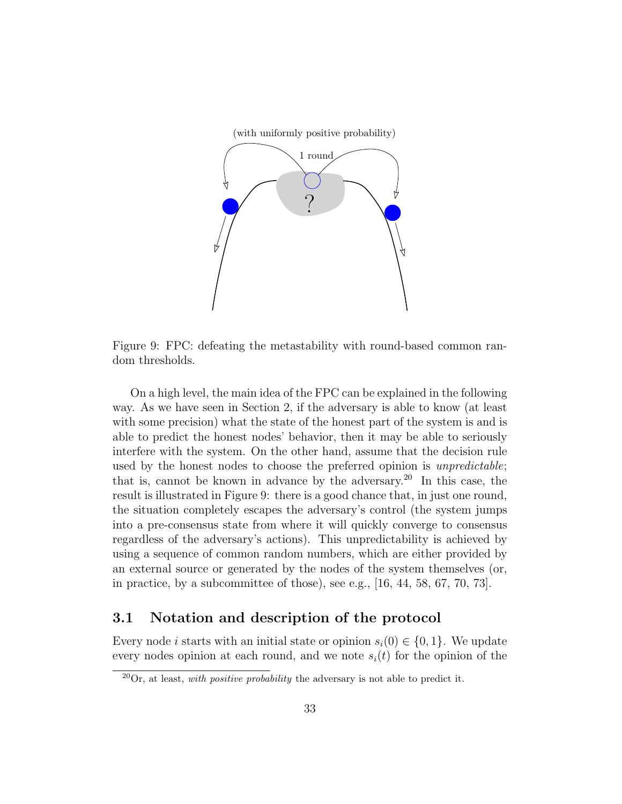

Figure 9: FPC: defeating the metastability with round-based common random thresholds.

On a high level, the main idea of the FPC can be explained in the following way. As we have seen in Section 2, if the adversary is able to know (at least with some precision) what the state of the honest part of the system is and is able to predict the honest nodes' behavior, then it may be able to seriously interfere with the system. On the other hand, assume that the decision rule used by the honest nodes to choose the preferred opinion is *unpredictable*; that is, cannot be known in advance by the adversary.<sup>20</sup> In this case, the result is illustrated in Figure 9: there is a good chance that, in just one round, the situation completely escapes the adversary's control (the system jumps into a pre-consensus state from where it will quickly converge to consensus regardless of the adversary's actions). This unpredictability is achieved by using a sequence of common random numbers, which are either provided by an external source or generated by the nodes of the system themselves (or, in practice, by a subcommittee of those), see e.g., [16, 44, 58, 67, 70, 73].

#### 3.1 Notation and description of the protocol

Every node i starts with an initial state or opinion  $s_i(0) \in \{0, 1\}$ . We update every nodes opinion at each round, and we note  $s_i(t)$  for the opinion of the

 $\sqrt[20]{20}$ r, at least, *with positive probability* the adversary is not able to predict it.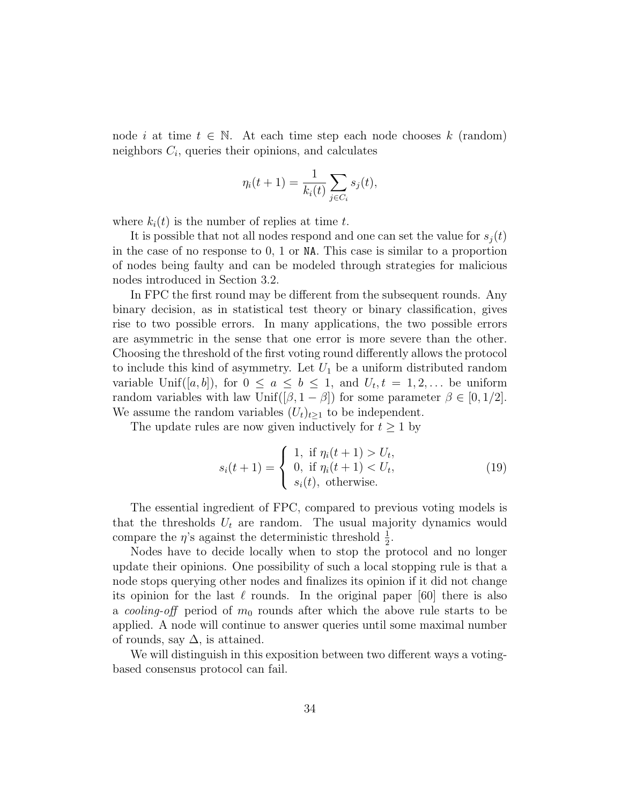node i at time  $t \in \mathbb{N}$ . At each time step each node chooses k (random) neighbors  $C_i$ , queries their opinions, and calculates

$$
\eta_i(t+1) = \frac{1}{k_i(t)} \sum_{j \in C_i} s_j(t),
$$

where  $k_i(t)$  is the number of replies at time t.

It is possible that not all nodes respond and one can set the value for  $s_i(t)$ in the case of no response to 0, 1 or NA. This case is similar to a proportion of nodes being faulty and can be modeled through strategies for malicious nodes introduced in Section 3.2.

In FPC the first round may be different from the subsequent rounds. Any binary decision, as in statistical test theory or binary classification, gives rise to two possible errors. In many applications, the two possible errors are asymmetric in the sense that one error is more severe than the other. Choosing the threshold of the first voting round differently allows the protocol to include this kind of asymmetry. Let  $U_1$  be a uniform distributed random variable Unif([a, b]), for  $0 \le a \le b \le 1$ , and  $U_t, t = 1, 2, \ldots$  be uniform random variables with law Unif( $[\beta, 1 - \beta]$ ) for some parameter  $\beta \in [0, 1/2]$ . We assume the random variables  $(U_t)_{t\geq 1}$  to be independent.

The update rules are now given inductively for  $t \geq 1$  by

$$
s_i(t+1) = \begin{cases} 1, & \text{if } \eta_i(t+1) > U_t, \\ 0, & \text{if } \eta_i(t+1) < U_t, \\ s_i(t), & \text{otherwise.} \end{cases}
$$
 (19)

The essential ingredient of FPC, compared to previous voting models is that the thresholds  $U_t$  are random. The usual majority dynamics would compare the  $\eta$ 's against the deterministic threshold  $\frac{1}{2}$ .

Nodes have to decide locally when to stop the protocol and no longer update their opinions. One possibility of such a local stopping rule is that a node stops querying other nodes and finalizes its opinion if it did not change its opinion for the last  $\ell$  rounds. In the original paper [60] there is also a *cooling-off* period of  $m_0$  rounds after which the above rule starts to be applied. A node will continue to answer queries until some maximal number of rounds, say  $\Delta$ , is attained.

We will distinguish in this exposition between two different ways a votingbased consensus protocol can fail.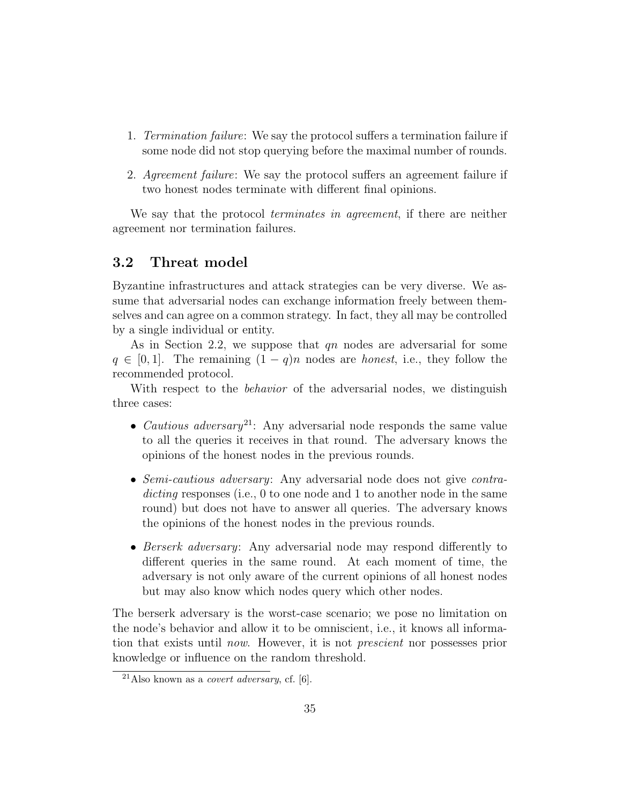- 1. Termination failure: We say the protocol suffers a termination failure if some node did not stop querying before the maximal number of rounds.
- 2. Agreement failure: We say the protocol suffers an agreement failure if two honest nodes terminate with different final opinions.

We say that the protocol *terminates in agreement*, if there are neither agreement nor termination failures.

#### 3.2 Threat model

Byzantine infrastructures and attack strategies can be very diverse. We assume that adversarial nodes can exchange information freely between themselves and can agree on a common strategy. In fact, they all may be controlled by a single individual or entity.

As in Section 2.2, we suppose that  $qn$  nodes are adversarial for some  $q \in [0, 1]$ . The remaining  $(1 - q)n$  nodes are *honest*, i.e., they follow the recommended protocol.

With respect to the *behavior* of the adversarial nodes, we distinguish three cases:

- *Cautious adversary*<sup>21</sup>: Any adversarial node responds the same value to all the queries it receives in that round. The adversary knows the opinions of the honest nodes in the previous rounds.
- Semi-cautious adversary: Any adversarial node does not give contradicting responses (i.e., 0 to one node and 1 to another node in the same round) but does not have to answer all queries. The adversary knows the opinions of the honest nodes in the previous rounds.
- Berserk adversary: Any adversarial node may respond differently to different queries in the same round. At each moment of time, the adversary is not only aware of the current opinions of all honest nodes but may also know which nodes query which other nodes.

The berserk adversary is the worst-case scenario; we pose no limitation on the node's behavior and allow it to be omniscient, i.e., it knows all information that exists until now. However, it is not prescient nor possesses prior knowledge or influence on the random threshold.

<sup>&</sup>lt;sup>21</sup>Also known as a *covert adversary*, cf. [6].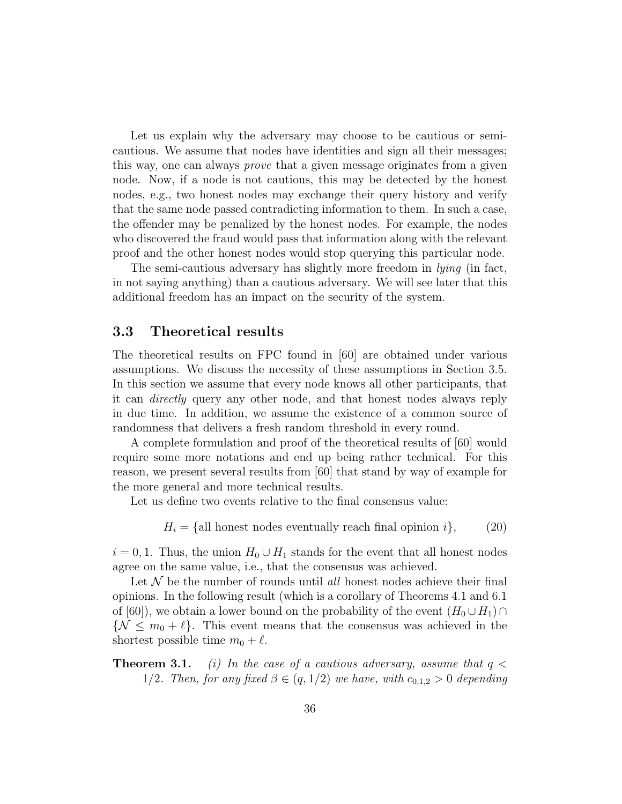Let us explain why the adversary may choose to be cautious or semicautious. We assume that nodes have identities and sign all their messages; this way, one can always prove that a given message originates from a given node. Now, if a node is not cautious, this may be detected by the honest nodes, e.g., two honest nodes may exchange their query history and verify that the same node passed contradicting information to them. In such a case, the offender may be penalized by the honest nodes. For example, the nodes who discovered the fraud would pass that information along with the relevant proof and the other honest nodes would stop querying this particular node.

The semi-cautious adversary has slightly more freedom in *lying* (in fact, in not saying anything) than a cautious adversary. We will see later that this additional freedom has an impact on the security of the system.

#### 3.3 Theoretical results

The theoretical results on FPC found in [60] are obtained under various assumptions. We discuss the necessity of these assumptions in Section 3.5. In this section we assume that every node knows all other participants, that it can directly query any other node, and that honest nodes always reply in due time. In addition, we assume the existence of a common source of randomness that delivers a fresh random threshold in every round.

A complete formulation and proof of the theoretical results of [60] would require some more notations and end up being rather technical. For this reason, we present several results from [60] that stand by way of example for the more general and more technical results.

Let us define two events relative to the final consensus value:

$$
H_i = \{ \text{all honest nodes eventually reach final opinion } i \}, \tag{20}
$$

 $i = 0, 1$ . Thus, the union  $H_0 \cup H_1$  stands for the event that all honest nodes agree on the same value, i.e., that the consensus was achieved.

Let  $\mathcal N$  be the number of rounds until all honest nodes achieve their final opinions. In the following result (which is a corollary of Theorems 4.1 and 6.1 of [60]), we obtain a lower bound on the probability of the event  $(H_0 \cup H_1) \cap$  $\{\mathcal{N} \leq m_0 + \ell\}.$  This event means that the consensus was achieved in the shortest possible time  $m_0 + \ell$ .

**Theorem 3.1.** (i) In the case of a cautious adversary, assume that  $q <$ 1/2. Then, for any fixed  $\beta \in (q, 1/2)$  we have, with  $c_{0,1,2} > 0$  depending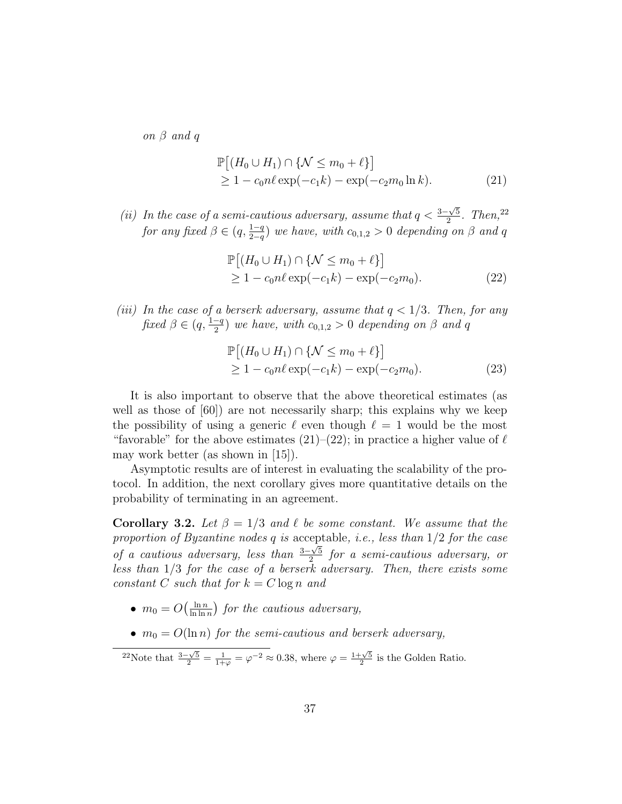on β and q

$$
\mathbb{P}[(H_0 \cup H_1) \cap \{ \mathcal{N} \le m_0 + \ell \}]
$$
  
\n
$$
\ge 1 - c_0 n \ell \exp(-c_1 k) - \exp(-c_2 m_0 \ln k).
$$
 (21)

(ii) In the case of a semi-cautious adversary, assume that  $q < \frac{3-\sqrt{5}}{2}$  $\frac{\sqrt{5}}{2}$ . Then,<sup>22</sup> for any fixed  $\beta \in (q, \frac{1-q}{2-q})$  we have, with  $c_{0,1,2} > 0$  depending on  $\beta$  and q

$$
\mathbb{P}[(H_0 \cup H_1) \cap \{ \mathcal{N} \le m_0 + \ell \}]
$$
  
\n
$$
\ge 1 - c_0 n \ell \exp(-c_1 k) - \exp(-c_2 m_0).
$$
 (22)

(iii) In the case of a berserk adversary, assume that  $q < 1/3$ . Then, for any fixed  $\beta \in (q, \frac{1-q}{2})$  we have, with  $c_{0,1,2} > 0$  depending on  $\beta$  and q

$$
\mathbb{P}[(H_0 \cup H_1) \cap \{ \mathcal{N} \le m_0 + \ell \}]
$$
  
\n
$$
\ge 1 - c_0 n \ell \exp(-c_1 k) - \exp(-c_2 m_0).
$$
 (23)

It is also important to observe that the above theoretical estimates (as well as those of  $|60|$  are not necessarily sharp; this explains why we keep the possibility of using a generic  $\ell$  even though  $\ell = 1$  would be the most "favorable" for the above estimates  $(21)$ – $(22)$ ; in practice a higher value of  $\ell$ may work better (as shown in [15]).

Asymptotic results are of interest in evaluating the scalability of the protocol. In addition, the next corollary gives more quantitative details on the probability of terminating in an agreement.

**Corollary 3.2.** Let  $\beta = 1/3$  and  $\ell$  be some constant. We assume that the proportion of Byzantine nodes q is acceptable, i.e., less than  $1/2$  for the case of a cautious adversary, less than  $\frac{3-\sqrt{5}}{2}$  $\frac{1-\sqrt{5}}{2}$  for a semi-cautious adversary, or less than  $1/3$  for the case of a berserk adversary. Then, there exists some constant C such that for  $k = C \log n$  and

- $\bullet$   $m_0 = O\left(\frac{\ln n}{\ln \ln n}\right)$  $\frac{\ln n}{\ln \ln n}$ ) for the cautious adversary,
- $m_0 = O(\ln n)$  for the semi-cautious and berserk adversary,

<sup>22</sup>Note that  $\frac{3-\sqrt{5}}{2} = \frac{1}{1+\varphi} = \varphi^{-2} \approx 0.38$ , where  $\varphi = \frac{1+\sqrt{5}}{2}$  is the Golden Ratio.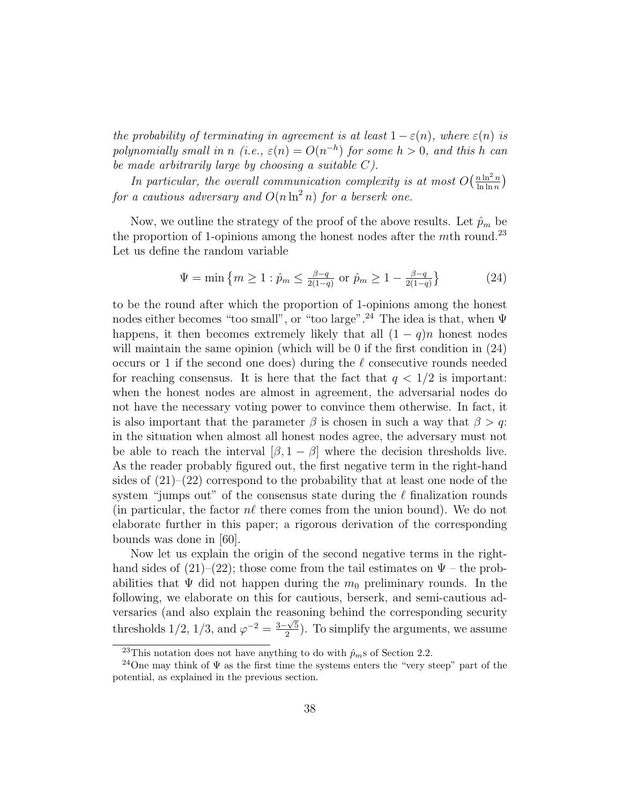the probability of terminating in agreement is at least  $1 - \varepsilon(n)$ , where  $\varepsilon(n)$  is polynomially small in n (i.e.,  $\varepsilon(n) = O(n^{-h})$  for some  $h > 0$ , and this h can be made arbitrarily large by choosing a suitable C).

In particular, the overall communication complexity is at most  $O\left(\frac{n \ln^2 n}{\ln \ln n}\right)$  $\frac{n \ln^2 n}{\ln \ln n}$ for a cautious adversary and  $O(n \ln^2 n)$  for a berserk one.

Now, we outline the strategy of the proof of the above results. Let  $\hat{p}_m$  be the proportion of 1-opinions among the honest nodes after the mth round.<sup>23</sup> Let us define the random variable

$$
\Psi = \min \left\{ m \ge 1 : \hat{p}_m \le \frac{\beta - q}{2(1 - q)} \text{ or } \hat{p}_m \ge 1 - \frac{\beta - q}{2(1 - q)} \right\} \tag{24}
$$

to be the round after which the proportion of 1-opinions among the honest nodes either becomes "too small", or "too large".<sup>24</sup> The idea is that, when  $\Psi$ happens, it then becomes extremely likely that all  $(1 - q)n$  honest nodes will maintain the same opinion (which will be 0 if the first condition in  $(24)$ ) occurs or 1 if the second one does) during the  $\ell$  consecutive rounds needed for reaching consensus. It is here that the fact that  $q < 1/2$  is important: when the honest nodes are almost in agreement, the adversarial nodes do not have the necessary voting power to convince them otherwise. In fact, it is also important that the parameter  $\beta$  is chosen in such a way that  $\beta > q$ . in the situation when almost all honest nodes agree, the adversary must not be able to reach the interval  $[\beta, 1 - \beta]$  where the decision thresholds live. As the reader probably figured out, the first negative term in the right-hand sides of  $(21)–(22)$  correspond to the probability that at least one node of the system "jumps out" of the consensus state during the  $\ell$  finalization rounds (in particular, the factor  $n\ell$  there comes from the union bound). We do not elaborate further in this paper; a rigorous derivation of the corresponding bounds was done in [60].

Now let us explain the origin of the second negative terms in the righthand sides of (21)–(22); those come from the tail estimates on  $\Psi$  – the probabilities that  $\Psi$  did not happen during the  $m_0$  preliminary rounds. In the following, we elaborate on this for cautious, berserk, and semi-cautious adversaries (and also explain the reasoning behind the corresponding security thresholds  $1/2$ ,  $1/3$ , and  $\varphi^{-2} = \frac{3-\sqrt{5}}{2}$  $\frac{1-\sqrt{5}}{2}$ ). To simplify the arguments, we assume

<sup>&</sup>lt;sup>23</sup>This notation does not have anything to do with  $\hat{p}_m$ s of Section 2.2.

<sup>&</sup>lt;sup>24</sup>One may think of  $\Psi$  as the first time the systems enters the "very steep" part of the potential, as explained in the previous section.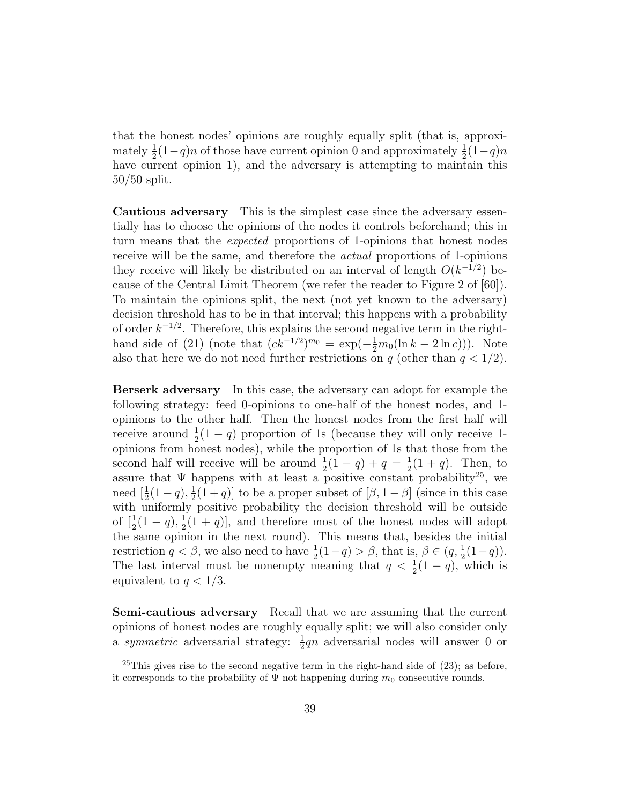that the honest nodes' opinions are roughly equally split (that is, approximately  $\frac{1}{2}(1-q)n$  of those have current opinion 0 and approximately  $\frac{1}{2}(1-q)n$ have current opinion 1), and the adversary is attempting to maintain this 50/50 split.

Cautious adversary This is the simplest case since the adversary essentially has to choose the opinions of the nodes it controls beforehand; this in turn means that the expected proportions of 1-opinions that honest nodes receive will be the same, and therefore the actual proportions of 1-opinions they receive will likely be distributed on an interval of length  $O(k^{-1/2})$  because of the Central Limit Theorem (we refer the reader to Figure 2 of [60]). To maintain the opinions split, the next (not yet known to the adversary) decision threshold has to be in that interval; this happens with a probability of order  $k^{-1/2}$ . Therefore, this explains the second negative term in the righthand side of (21) (note that  $(ck^{-1/2})^{m_0} = \exp(-\frac{1}{2}m_0(\ln k - 2\ln c))$ ). Note also that here we do not need further restrictions on q (other than  $q < 1/2$ ).

Berserk adversary In this case, the adversary can adopt for example the following strategy: feed 0-opinions to one-half of the honest nodes, and 1 opinions to the other half. Then the honest nodes from the first half will receive around  $\frac{1}{2}(1-q)$  proportion of 1s (because they will only receive 1opinions from honest nodes), while the proportion of 1s that those from the second half will receive will be around  $\frac{1}{2}(1-q) + q = \frac{1}{2}$  $\frac{1}{2}(1+q)$ . Then, to assure that  $\Psi$  happens with at least a positive constant probability<sup>25</sup>, we need  $[\frac{1}{2}(1-q), \frac{1}{2}]$  $\frac{1}{2}(1+q)$  to be a proper subset of  $[\beta, 1-\beta]$  (since in this case with uniformly positive probability the decision threshold will be outside of  $[\frac{1}{2}(1-q), \frac{1}{2}]$  $\frac{1}{2}(1+q)$ , and therefore most of the honest nodes will adopt the same opinion in the next round). This means that, besides the initial restriction  $q < \beta$ , we also need to have  $\frac{1}{2}(1-q) > \beta$ , that is,  $\beta \in (q, \frac{1}{2}(1-q))$ . The last interval must be nonempty meaning that  $q < \frac{1}{2}(1-q)$ , which is equivalent to  $q < 1/3$ .

Semi-cautious adversary Recall that we are assuming that the current opinions of honest nodes are roughly equally split; we will also consider only a *symmetric* adversarial strategy:  $\frac{1}{2}qn$  adversarial nodes will answer 0 or

<sup>&</sup>lt;sup>25</sup>This gives rise to the second negative term in the right-hand side of  $(23)$ ; as before, it corresponds to the probability of  $\Psi$  not happening during  $m_0$  consecutive rounds.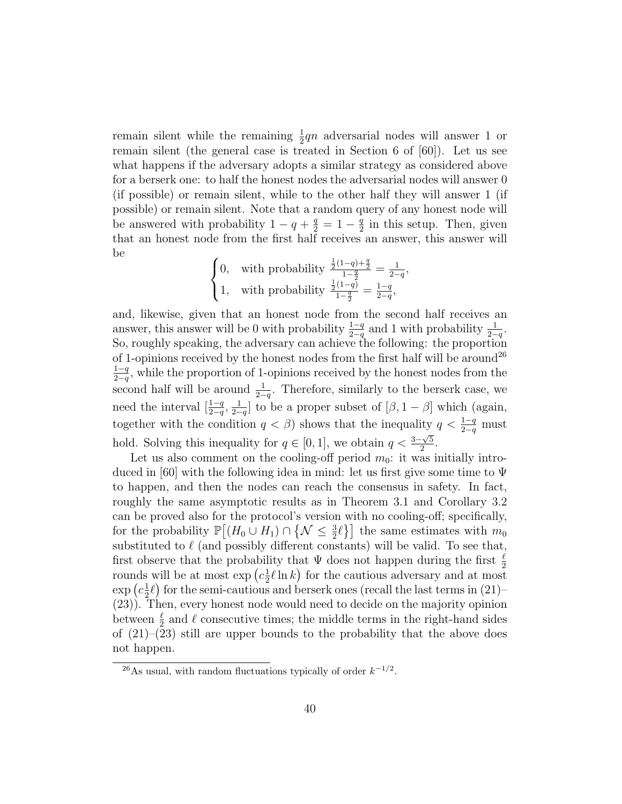remain silent while the remaining  $\frac{1}{2}$ qn adversarial nodes will answer 1 or remain silent (the general case is treated in Section 6 of [60]). Let us see what happens if the adversary adopts a similar strategy as considered above for a berserk one: to half the honest nodes the adversarial nodes will answer 0 (if possible) or remain silent, while to the other half they will answer 1 (if possible) or remain silent. Note that a random query of any honest node will be answered with probability  $1 - q + \frac{q}{2} = 1 - \frac{q}{2}$  $\frac{q}{2}$  in this setup. Then, given that an honest node from the first half receives an answer, this answer will be

$$
\begin{cases} 0, & \text{with probability } \frac{\frac{1}{2}(1-q)+\frac{q}{2}}{1-\frac{q}{2}} = \frac{1}{2-q}, \\ 1, & \text{with probability } \frac{\frac{1}{2}(1-q)}{1-\frac{q}{2}} = \frac{1-q}{2-q}, \end{cases}
$$

and, likewise, given that an honest node from the second half receives an answer, this answer will be 0 with probability  $\frac{1-q}{2-q}$  and 1 with probability  $\frac{1}{2-q}$ . So, roughly speaking, the adversary can achieve the following: the proportion of 1-opinions received by the honest nodes from the first half will be around<sup>26</sup>  $1-q$  $\frac{1-q}{2-q}$ , while the proportion of 1-opinions received by the honest nodes from the second half will be around  $\frac{1}{2-q}$ . Therefore, similarly to the berserk case, we need the interval  $\left[\frac{1-q}{2-q},\frac{1}{2-q}\right]$  $\frac{1}{2-q}$  to be a proper subset of  $[\beta, 1-\beta]$  which (again, together with the condition  $q < \beta$ ) shows that the inequality  $q < \frac{1-q}{2-q}$  must hold. Solving this inequality for  $q \in [0,1]$ , we obtain  $q < \frac{3-\sqrt{5}}{2}$  $\frac{\sqrt{5}}{2}$ .

Let us also comment on the cooling-off period  $m_0$ : it was initially introduced in [60] with the following idea in mind: let us first give some time to  $\Psi$ to happen, and then the nodes can reach the consensus in safety. In fact, roughly the same asymptotic results as in Theorem 3.1 and Corollary 3.2 can be proved also for the protocol's version with no cooling-off; specifically, for the probability  $\mathbb{P}[(H_0 \cup H_1) \cap \{\mathcal{N} \leq \frac{3}{2}\ell\}]$  the same estimates with  $m_0$ substituted to  $\ell$  (and possibly different constants) will be valid. To see that, first observe that the probability that  $\Psi$  does not happen during the first  $\frac{\ell}{2}$ rounds will be at most  $\exp\left(c\frac{1}{2}\right)$  $\frac{1}{2}\ell \ln k$  for the cautious adversary and at most  $\exp\left(c\frac{1}{2}\right)$  $\frac{1}{2}\ell$ ) for the semi-cautious and berserk ones (recall the last terms in (21)– (23)). Then, every honest node would need to decide on the majority opinion between  $\frac{\ell}{2}$  and  $\ell$  consecutive times; the middle terms in the right-hand sides of  $(21)$ – $(23)$  still are upper bounds to the probability that the above does not happen.

<sup>&</sup>lt;sup>26</sup>As usual, with random fluctuations typically of order  $k^{-1/2}$ .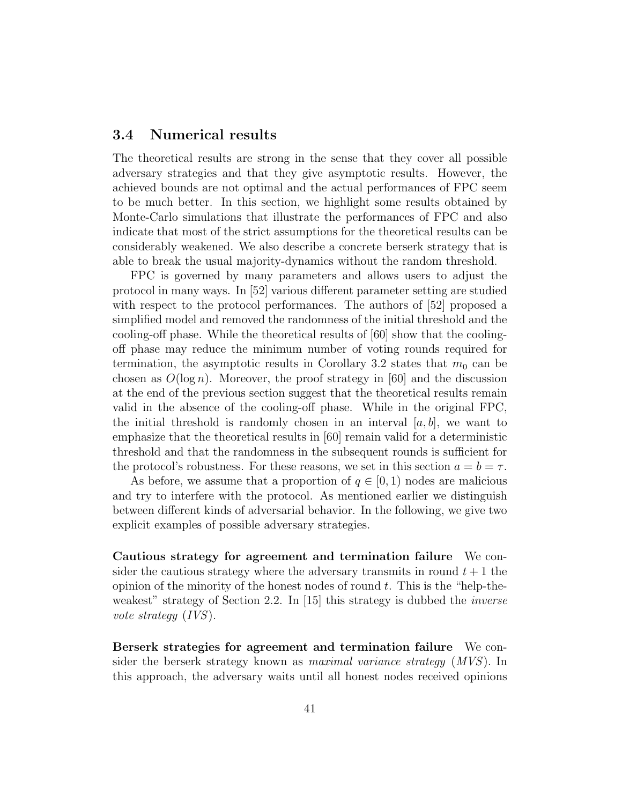#### 3.4 Numerical results

The theoretical results are strong in the sense that they cover all possible adversary strategies and that they give asymptotic results. However, the achieved bounds are not optimal and the actual performances of FPC seem to be much better. In this section, we highlight some results obtained by Monte-Carlo simulations that illustrate the performances of FPC and also indicate that most of the strict assumptions for the theoretical results can be considerably weakened. We also describe a concrete berserk strategy that is able to break the usual majority-dynamics without the random threshold.

FPC is governed by many parameters and allows users to adjust the protocol in many ways. In [52] various different parameter setting are studied with respect to the protocol performances. The authors of [52] proposed a simplified model and removed the randomness of the initial threshold and the cooling-off phase. While the theoretical results of [60] show that the coolingoff phase may reduce the minimum number of voting rounds required for termination, the asymptotic results in Corollary 3.2 states that  $m_0$  can be chosen as  $O(\log n)$ . Moreover, the proof strategy in [60] and the discussion at the end of the previous section suggest that the theoretical results remain valid in the absence of the cooling-off phase. While in the original FPC, the initial threshold is randomly chosen in an interval  $[a, b]$ , we want to emphasize that the theoretical results in [60] remain valid for a deterministic threshold and that the randomness in the subsequent rounds is sufficient for the protocol's robustness. For these reasons, we set in this section  $a = b = \tau$ .

As before, we assume that a proportion of  $q \in [0, 1)$  nodes are malicious and try to interfere with the protocol. As mentioned earlier we distinguish between different kinds of adversarial behavior. In the following, we give two explicit examples of possible adversary strategies.

Cautious strategy for agreement and termination failure We consider the cautious strategy where the adversary transmits in round  $t + 1$  the opinion of the minority of the honest nodes of round  $t$ . This is the "help-theweakest" strategy of Section 2.2. In  $[15]$  this strategy is dubbed the *inverse* vote strategy (IVS).

Berserk strategies for agreement and termination failure We consider the berserk strategy known as maximal variance strategy (MVS). In this approach, the adversary waits until all honest nodes received opinions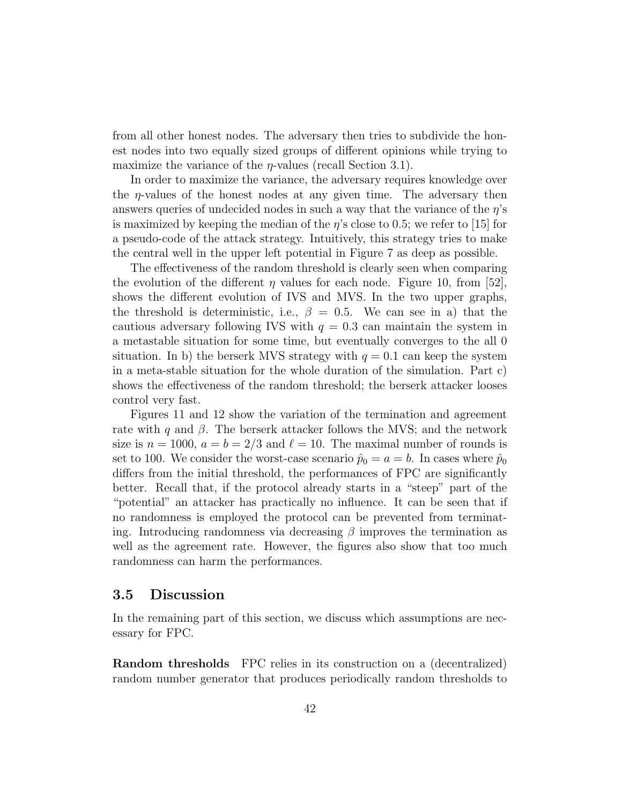from all other honest nodes. The adversary then tries to subdivide the honest nodes into two equally sized groups of different opinions while trying to maximize the variance of the  $\eta$ -values (recall Section 3.1).

In order to maximize the variance, the adversary requires knowledge over the  $\eta$ -values of the honest nodes at any given time. The adversary then answers queries of undecided nodes in such a way that the variance of the  $\eta$ 's is maximized by keeping the median of the  $\eta$ 's close to 0.5; we refer to [15] for a pseudo-code of the attack strategy. Intuitively, this strategy tries to make the central well in the upper left potential in Figure 7 as deep as possible.

The effectiveness of the random threshold is clearly seen when comparing the evolution of the different  $\eta$  values for each node. Figure 10, from [52], shows the different evolution of IVS and MVS. In the two upper graphs, the threshold is deterministic, i.e.,  $\beta = 0.5$ . We can see in a) that the cautious adversary following IVS with  $q = 0.3$  can maintain the system in a metastable situation for some time, but eventually converges to the all 0 situation. In b) the berserk MVS strategy with  $q = 0.1$  can keep the system in a meta-stable situation for the whole duration of the simulation. Part c) shows the effectiveness of the random threshold; the berserk attacker looses control very fast.

Figures 11 and 12 show the variation of the termination and agreement rate with q and  $\beta$ . The berserk attacker follows the MVS; and the network size is  $n = 1000$ ,  $a = b = 2/3$  and  $\ell = 10$ . The maximal number of rounds is set to 100. We consider the worst-case scenario  $\hat{p}_0 = a = b$ . In cases where  $\hat{p}_0$ differs from the initial threshold, the performances of FPC are significantly better. Recall that, if the protocol already starts in a "steep" part of the "potential" an attacker has practically no influence. It can be seen that if no randomness is employed the protocol can be prevented from terminating. Introducing randomness via decreasing  $\beta$  improves the termination as well as the agreement rate. However, the figures also show that too much randomness can harm the performances.

#### 3.5 Discussion

In the remaining part of this section, we discuss which assumptions are necessary for FPC.

Random thresholds FPC relies in its construction on a (decentralized) random number generator that produces periodically random thresholds to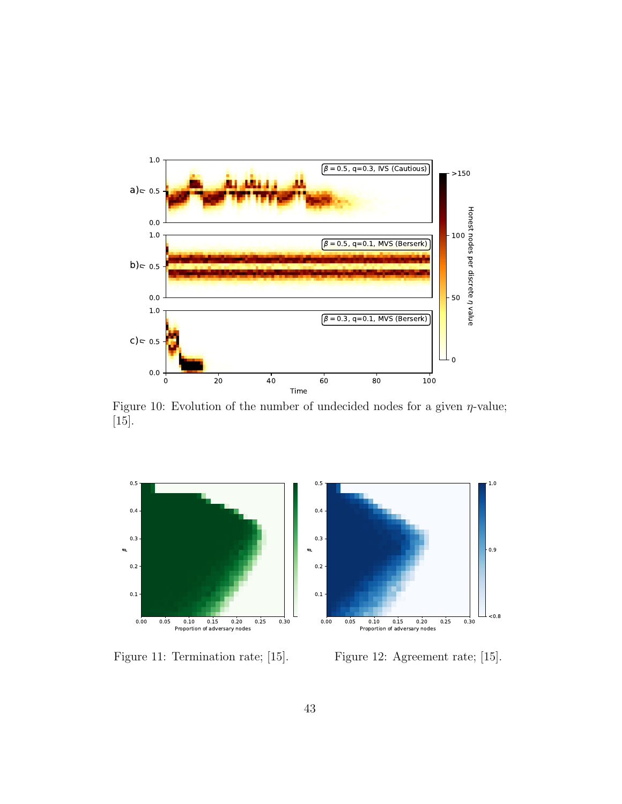

Figure 10: Evolution of the number of undecided nodes for a given  $\eta$ -value; [15].



Figure 11: Termination rate; [15].

Figure 12: Agreement rate; [15].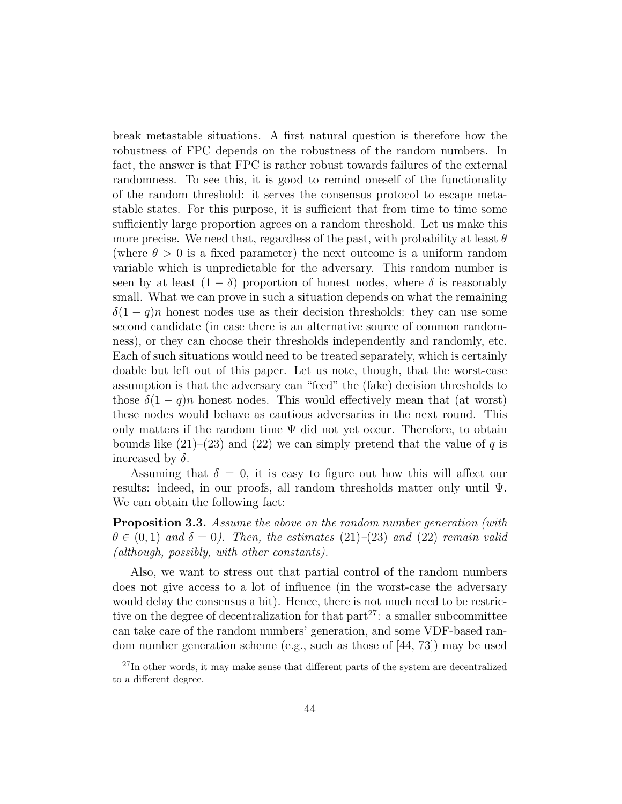break metastable situations. A first natural question is therefore how the robustness of FPC depends on the robustness of the random numbers. In fact, the answer is that FPC is rather robust towards failures of the external randomness. To see this, it is good to remind oneself of the functionality of the random threshold: it serves the consensus protocol to escape metastable states. For this purpose, it is sufficient that from time to time some sufficiently large proportion agrees on a random threshold. Let us make this more precise. We need that, regardless of the past, with probability at least  $\theta$ (where  $\theta > 0$  is a fixed parameter) the next outcome is a uniform random variable which is unpredictable for the adversary. This random number is seen by at least  $(1 - \delta)$  proportion of honest nodes, where  $\delta$  is reasonably small. What we can prove in such a situation depends on what the remaining  $\delta(1-q)n$  honest nodes use as their decision thresholds: they can use some second candidate (in case there is an alternative source of common randomness), or they can choose their thresholds independently and randomly, etc. Each of such situations would need to be treated separately, which is certainly doable but left out of this paper. Let us note, though, that the worst-case assumption is that the adversary can "feed" the (fake) decision thresholds to those  $\delta(1-q)n$  honest nodes. This would effectively mean that (at worst) these nodes would behave as cautious adversaries in the next round. This only matters if the random time  $\Psi$  did not yet occur. Therefore, to obtain bounds like  $(21)–(23)$  and  $(22)$  we can simply pretend that the value of q is increased by  $\delta$ .

Assuming that  $\delta = 0$ , it is easy to figure out how this will affect our results: indeed, in our proofs, all random thresholds matter only until Ψ. We can obtain the following fact:

**Proposition 3.3.** Assume the above on the random number generation (with  $\theta \in (0,1)$  and  $\delta = 0$ ). Then, the estimates (21)–(23) and (22) remain valid (although, possibly, with other constants).

Also, we want to stress out that partial control of the random numbers does not give access to a lot of influence (in the worst-case the adversary would delay the consensus a bit). Hence, there is not much need to be restrictive on the degree of decentralization for that  $part^{27}$ : a smaller subcommittee can take care of the random numbers' generation, and some VDF-based random number generation scheme (e.g., such as those of  $[44, 73]$ ) may be used

 $^{27}$ In other words, it may make sense that different parts of the system are decentralized to a different degree.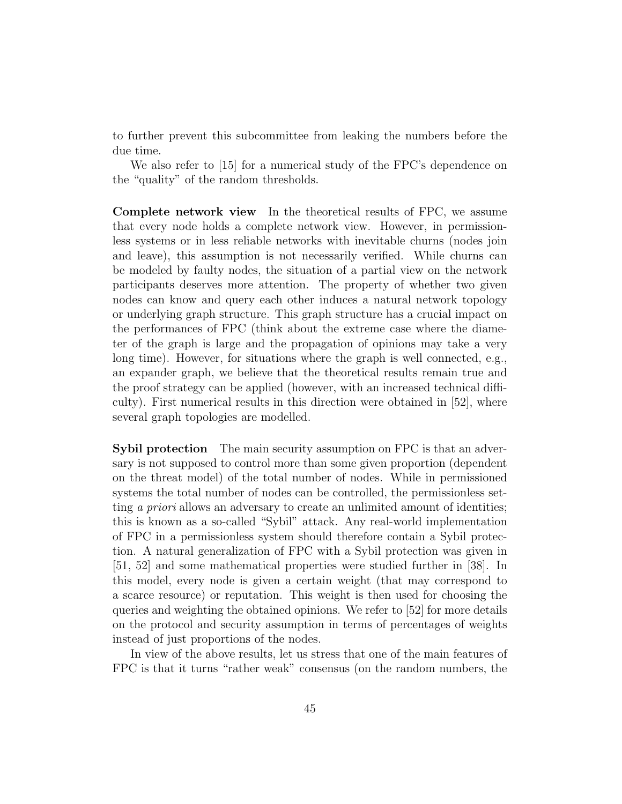to further prevent this subcommittee from leaking the numbers before the due time.

We also refer to [15] for a numerical study of the FPC's dependence on the "quality" of the random thresholds.

Complete network view In the theoretical results of FPC, we assume that every node holds a complete network view. However, in permissionless systems or in less reliable networks with inevitable churns (nodes join and leave), this assumption is not necessarily verified. While churns can be modeled by faulty nodes, the situation of a partial view on the network participants deserves more attention. The property of whether two given nodes can know and query each other induces a natural network topology or underlying graph structure. This graph structure has a crucial impact on the performances of FPC (think about the extreme case where the diameter of the graph is large and the propagation of opinions may take a very long time). However, for situations where the graph is well connected, e.g., an expander graph, we believe that the theoretical results remain true and the proof strategy can be applied (however, with an increased technical difficulty). First numerical results in this direction were obtained in [52], where several graph topologies are modelled.

Sybil protection The main security assumption on FPC is that an adversary is not supposed to control more than some given proportion (dependent on the threat model) of the total number of nodes. While in permissioned systems the total number of nodes can be controlled, the permissionless setting *a priori* allows an adversary to create an unlimited amount of identities; this is known as a so-called "Sybil" attack. Any real-world implementation of FPC in a permissionless system should therefore contain a Sybil protection. A natural generalization of FPC with a Sybil protection was given in [51, 52] and some mathematical properties were studied further in [38]. In this model, every node is given a certain weight (that may correspond to a scarce resource) or reputation. This weight is then used for choosing the queries and weighting the obtained opinions. We refer to [52] for more details on the protocol and security assumption in terms of percentages of weights instead of just proportions of the nodes.

In view of the above results, let us stress that one of the main features of FPC is that it turns "rather weak" consensus (on the random numbers, the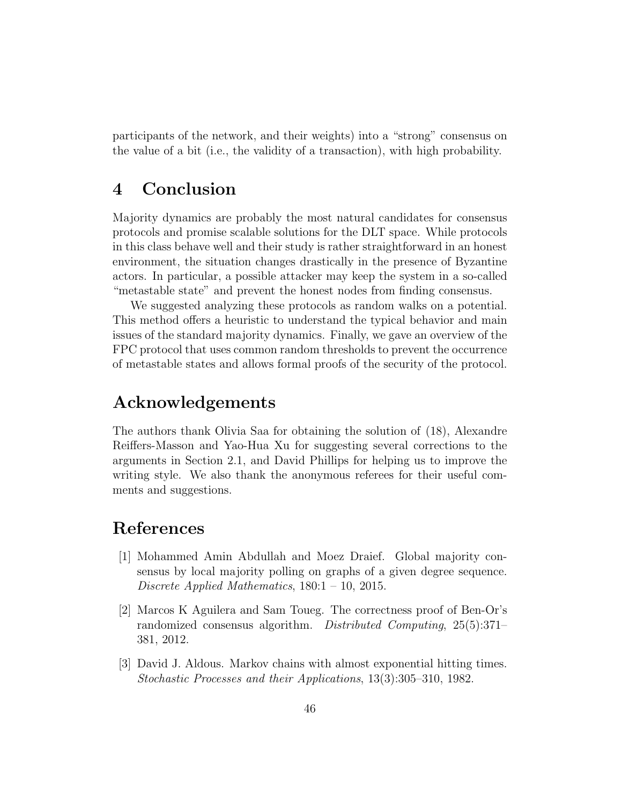participants of the network, and their weights) into a "strong" consensus on the value of a bit (i.e., the validity of a transaction), with high probability.

### 4 Conclusion

Majority dynamics are probably the most natural candidates for consensus protocols and promise scalable solutions for the DLT space. While protocols in this class behave well and their study is rather straightforward in an honest environment, the situation changes drastically in the presence of Byzantine actors. In particular, a possible attacker may keep the system in a so-called "metastable state" and prevent the honest nodes from finding consensus.

We suggested analyzing these protocols as random walks on a potential. This method offers a heuristic to understand the typical behavior and main issues of the standard majority dynamics. Finally, we gave an overview of the FPC protocol that uses common random thresholds to prevent the occurrence of metastable states and allows formal proofs of the security of the protocol.

### Acknowledgements

The authors thank Olivia Saa for obtaining the solution of (18), Alexandre Reiffers-Masson and Yao-Hua Xu for suggesting several corrections to the arguments in Section 2.1, and David Phillips for helping us to improve the writing style. We also thank the anonymous referees for their useful comments and suggestions.

### References

- [1] Mohammed Amin Abdullah and Moez Draief. Global majority consensus by local majority polling on graphs of a given degree sequence. Discrete Applied Mathematics, 180:1 – 10, 2015.
- [2] Marcos K Aguilera and Sam Toueg. The correctness proof of Ben-Or's randomized consensus algorithm. Distributed Computing, 25(5):371– 381, 2012.
- [3] David J. Aldous. Markov chains with almost exponential hitting times. Stochastic Processes and their Applications, 13(3):305–310, 1982.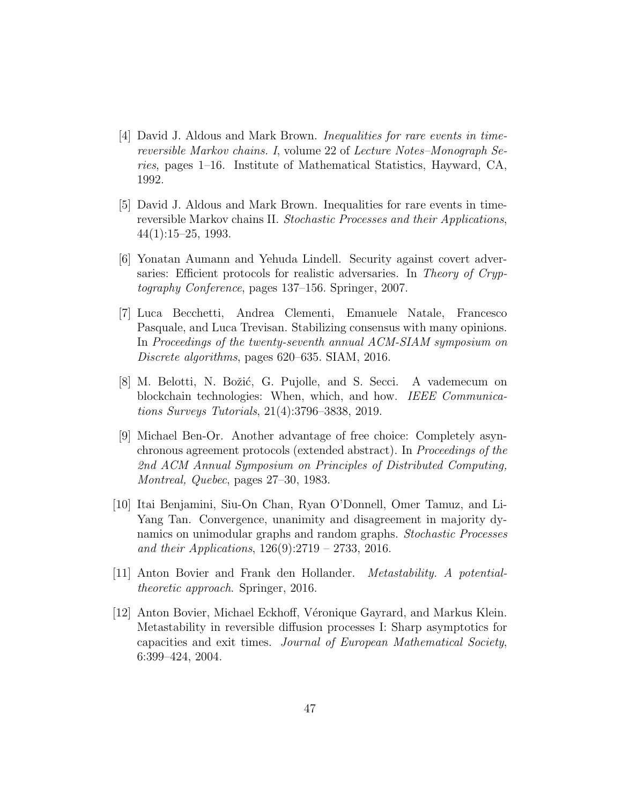- [4] David J. Aldous and Mark Brown. Inequalities for rare events in timereversible Markov chains. I, volume 22 of Lecture Notes–Monograph Series, pages 1–16. Institute of Mathematical Statistics, Hayward, CA, 1992.
- [5] David J. Aldous and Mark Brown. Inequalities for rare events in timereversible Markov chains II. Stochastic Processes and their Applications,  $44(1):15-25, 1993.$
- [6] Yonatan Aumann and Yehuda Lindell. Security against covert adversaries: Efficient protocols for realistic adversaries. In Theory of Cryptography Conference, pages 137–156. Springer, 2007.
- [7] Luca Becchetti, Andrea Clementi, Emanuele Natale, Francesco Pasquale, and Luca Trevisan. Stabilizing consensus with many opinions. In Proceedings of the twenty-seventh annual ACM-SIAM symposium on Discrete algorithms, pages 620–635. SIAM, 2016.
- [8] M. Belotti, N. Božić, G. Pujolle, and S. Secci. A vademecum on blockchain technologies: When, which, and how. IEEE Communications Surveys Tutorials, 21(4):3796–3838, 2019.
- [9] Michael Ben-Or. Another advantage of free choice: Completely asynchronous agreement protocols (extended abstract). In Proceedings of the 2nd ACM Annual Symposium on Principles of Distributed Computing, Montreal, Quebec, pages 27–30, 1983.
- [10] Itai Benjamini, Siu-On Chan, Ryan O'Donnell, Omer Tamuz, and Li-Yang Tan. Convergence, unanimity and disagreement in majority dynamics on unimodular graphs and random graphs. Stochastic Processes and their Applications,  $126(9):2719 - 2733$ , 2016.
- [11] Anton Bovier and Frank den Hollander. Metastability. A potentialtheoretic approach. Springer, 2016.
- [12] Anton Bovier, Michael Eckhoff, Véronique Gayrard, and Markus Klein. Metastability in reversible diffusion processes I: Sharp asymptotics for capacities and exit times. Journal of European Mathematical Society, 6:399–424, 2004.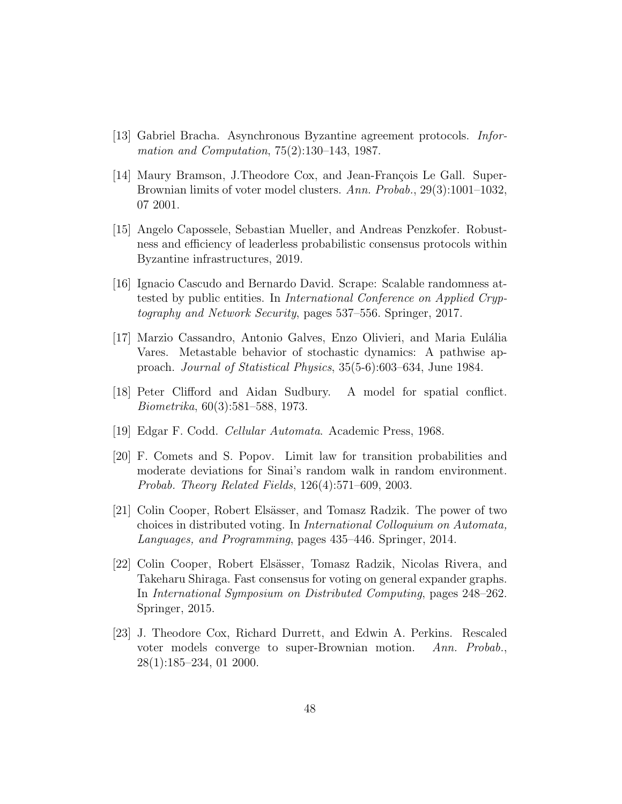- [13] Gabriel Bracha. Asynchronous Byzantine agreement protocols. Information and Computation, 75(2):130–143, 1987.
- [14] Maury Bramson, J.Theodore Cox, and Jean-François Le Gall. Super-Brownian limits of voter model clusters. Ann. Probab., 29(3):1001–1032, 07 2001.
- [15] Angelo Capossele, Sebastian Mueller, and Andreas Penzkofer. Robustness and efficiency of leaderless probabilistic consensus protocols within Byzantine infrastructures, 2019.
- [16] Ignacio Cascudo and Bernardo David. Scrape: Scalable randomness attested by public entities. In International Conference on Applied Cryptography and Network Security, pages 537–556. Springer, 2017.
- [17] Marzio Cassandro, Antonio Galves, Enzo Olivieri, and Maria Eulália Vares. Metastable behavior of stochastic dynamics: A pathwise approach. Journal of Statistical Physics, 35(5-6):603–634, June 1984.
- [18] Peter Clifford and Aidan Sudbury. A model for spatial conflict. Biometrika, 60(3):581–588, 1973.
- [19] Edgar F. Codd. Cellular Automata. Academic Press, 1968.
- [20] F. Comets and S. Popov. Limit law for transition probabilities and moderate deviations for Sinai's random walk in random environment. Probab. Theory Related Fields, 126(4):571–609, 2003.
- [21] Colin Cooper, Robert Elsässer, and Tomasz Radzik. The power of two choices in distributed voting. In International Colloquium on Automata, Languages, and Programming, pages 435–446. Springer, 2014.
- [22] Colin Cooper, Robert Elsässer, Tomasz Radzik, Nicolas Rivera, and Takeharu Shiraga. Fast consensus for voting on general expander graphs. In International Symposium on Distributed Computing, pages 248–262. Springer, 2015.
- [23] J. Theodore Cox, Richard Durrett, and Edwin A. Perkins. Rescaled voter models converge to super-Brownian motion. Ann. Probab., 28(1):185–234, 01 2000.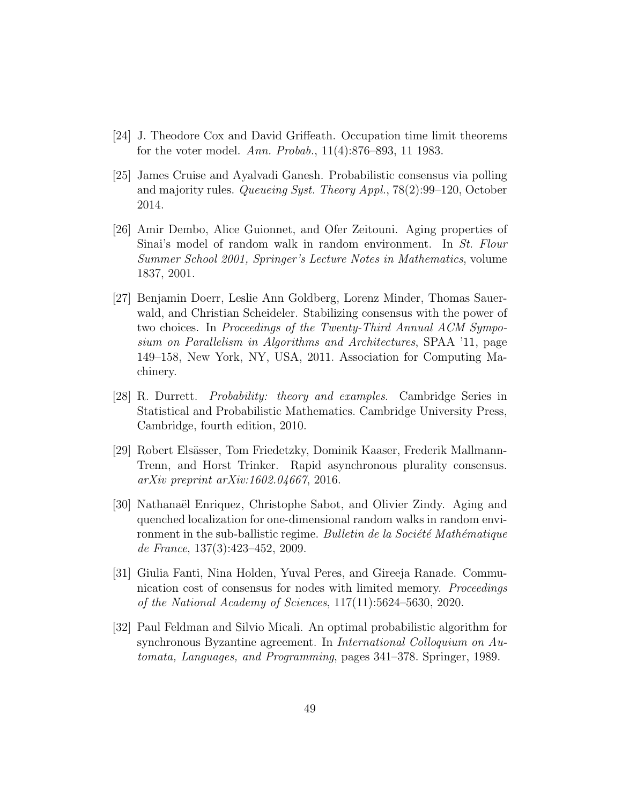- [24] J. Theodore Cox and David Griffeath. Occupation time limit theorems for the voter model. Ann. Probab., 11(4):876–893, 11 1983.
- [25] James Cruise and Ayalvadi Ganesh. Probabilistic consensus via polling and majority rules. Queueing Syst. Theory Appl., 78(2):99–120, October 2014.
- [26] Amir Dembo, Alice Guionnet, and Ofer Zeitouni. Aging properties of Sinai's model of random walk in random environment. In St. Flour Summer School 2001, Springer's Lecture Notes in Mathematics, volume 1837, 2001.
- [27] Benjamin Doerr, Leslie Ann Goldberg, Lorenz Minder, Thomas Sauerwald, and Christian Scheideler. Stabilizing consensus with the power of two choices. In Proceedings of the Twenty-Third Annual ACM Symposium on Parallelism in Algorithms and Architectures, SPAA '11, page 149–158, New York, NY, USA, 2011. Association for Computing Machinery.
- [28] R. Durrett. Probability: theory and examples. Cambridge Series in Statistical and Probabilistic Mathematics. Cambridge University Press, Cambridge, fourth edition, 2010.
- [29] Robert Elsässer, Tom Friedetzky, Dominik Kaaser, Frederik Mallmann-Trenn, and Horst Trinker. Rapid asynchronous plurality consensus. arXiv preprint arXiv:1602.04667, 2016.
- [30] Nathanaël Enriquez, Christophe Sabot, and Olivier Zindy. Aging and quenched localization for one-dimensional random walks in random environment in the sub-ballistic regime. Bulletin de la Société Mathématique de France, 137(3):423–452, 2009.
- [31] Giulia Fanti, Nina Holden, Yuval Peres, and Gireeja Ranade. Communication cost of consensus for nodes with limited memory. Proceedings of the National Academy of Sciences, 117(11):5624–5630, 2020.
- [32] Paul Feldman and Silvio Micali. An optimal probabilistic algorithm for synchronous Byzantine agreement. In International Colloquium on Automata, Languages, and Programming, pages 341–378. Springer, 1989.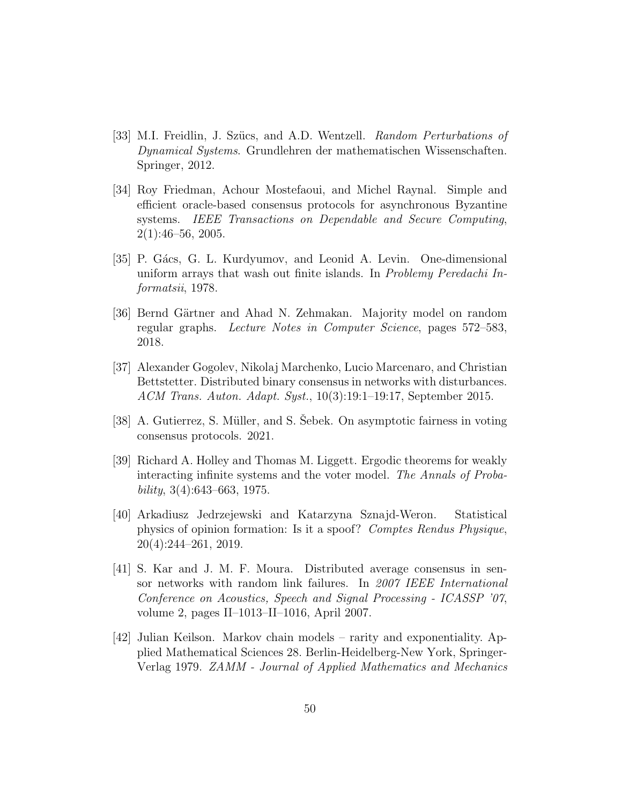- [33] M.I. Freidlin, J. Szücs, and A.D. Wentzell. Random Perturbations of Dynamical Systems. Grundlehren der mathematischen Wissenschaften. Springer, 2012.
- [34] Roy Friedman, Achour Mostefaoui, and Michel Raynal. Simple and efficient oracle-based consensus protocols for asynchronous Byzantine systems. IEEE Transactions on Dependable and Secure Computing, 2(1):46–56, 2005.
- [35] P. Gács, G. L. Kurdyumov, and Leonid A. Levin. One-dimensional uniform arrays that wash out finite islands. In Problemy Peredachi Informatsii, 1978.
- [36] Bernd Gärtner and Ahad N. Zehmakan. Majority model on random regular graphs. Lecture Notes in Computer Science, pages 572–583, 2018.
- [37] Alexander Gogolev, Nikolaj Marchenko, Lucio Marcenaro, and Christian Bettstetter. Distributed binary consensus in networks with disturbances. ACM Trans. Auton. Adapt. Syst., 10(3):19:1–19:17, September 2015.
- [38] A. Gutierrez, S. Müller, and S. Sebek. On asymptotic fairness in voting consensus protocols. 2021.
- [39] Richard A. Holley and Thomas M. Liggett. Ergodic theorems for weakly interacting infinite systems and the voter model. The Annals of Proba $bility, 3(4):643–663, 1975.$
- [40] Arkadiusz Jedrzejewski and Katarzyna Sznajd-Weron. Statistical physics of opinion formation: Is it a spoof? Comptes Rendus Physique, 20(4):244–261, 2019.
- [41] S. Kar and J. M. F. Moura. Distributed average consensus in sensor networks with random link failures. In 2007 IEEE International Conference on Acoustics, Speech and Signal Processing - ICASSP '07, volume 2, pages II–1013–II–1016, April 2007.
- [42] Julian Keilson. Markov chain models rarity and exponentiality. Applied Mathematical Sciences 28. Berlin-Heidelberg-New York, Springer-Verlag 1979. ZAMM - Journal of Applied Mathematics and Mechanics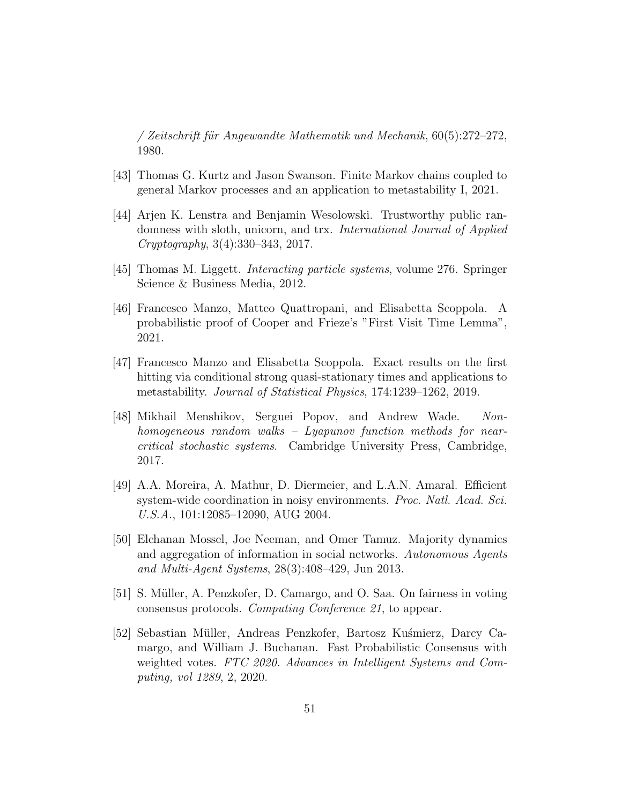/ Zeitschrift für Angewandte Mathematik und Mechanik,  $60(5):272-272$ , 1980.

- [43] Thomas G. Kurtz and Jason Swanson. Finite Markov chains coupled to general Markov processes and an application to metastability I, 2021.
- [44] Arjen K. Lenstra and Benjamin Wesolowski. Trustworthy public randomness with sloth, unicorn, and trx. International Journal of Applied Cryptography, 3(4):330–343, 2017.
- [45] Thomas M. Liggett. Interacting particle systems, volume 276. Springer Science & Business Media, 2012.
- [46] Francesco Manzo, Matteo Quattropani, and Elisabetta Scoppola. A probabilistic proof of Cooper and Frieze's "First Visit Time Lemma", 2021.
- [47] Francesco Manzo and Elisabetta Scoppola. Exact results on the first hitting via conditional strong quasi-stationary times and applications to metastability. Journal of Statistical Physics, 174:1239–1262, 2019.
- [48] Mikhail Menshikov, Serguei Popov, and Andrew Wade. Nonhomogeneous random walks – Lyapunov function methods for nearcritical stochastic systems. Cambridge University Press, Cambridge, 2017.
- [49] A.A. Moreira, A. Mathur, D. Diermeier, and L.A.N. Amaral. Efficient system-wide coordination in noisy environments. Proc. Natl. Acad. Sci. U.S.A., 101:12085–12090, AUG 2004.
- [50] Elchanan Mossel, Joe Neeman, and Omer Tamuz. Majority dynamics and aggregation of information in social networks. Autonomous Agents and Multi-Agent Systems, 28(3):408–429, Jun 2013.
- [51] S. Müller, A. Penzkofer, D. Camargo, and O. Saa. On fairness in voting consensus protocols. Computing Conference 21, to appear.
- [52] Sebastian Müller, Andreas Penzkofer, Bartosz Kuśmierz, Darcy Camargo, and William J. Buchanan. Fast Probabilistic Consensus with weighted votes. FTC 2020. Advances in Intelligent Systems and Computing, vol 1289, 2, 2020.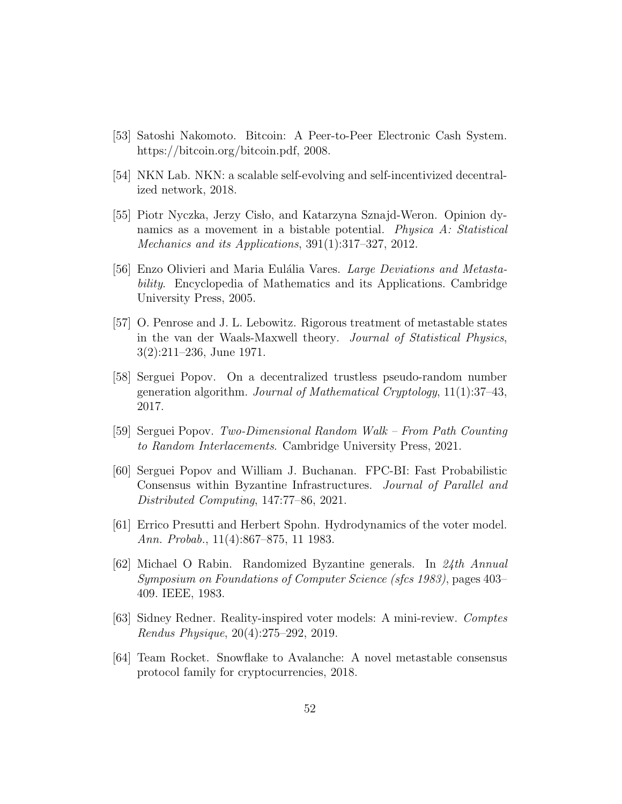- [53] Satoshi Nakomoto. Bitcoin: A Peer-to-Peer Electronic Cash System. https://bitcoin.org/bitcoin.pdf, 2008.
- [54] NKN Lab. NKN: a scalable self-evolving and self-incentivized decentralized network, 2018.
- [55] Piotr Nyczka, Jerzy Cisło, and Katarzyna Sznajd-Weron. Opinion dynamics as a movement in a bistable potential. *Physica A: Statistical* Mechanics and its Applications, 391(1):317–327, 2012.
- [56] Enzo Olivieri and Maria Eulália Vares. Large Deviations and Metastability. Encyclopedia of Mathematics and its Applications. Cambridge University Press, 2005.
- [57] O. Penrose and J. L. Lebowitz. Rigorous treatment of metastable states in the van der Waals-Maxwell theory. Journal of Statistical Physics, 3(2):211–236, June 1971.
- [58] Serguei Popov. On a decentralized trustless pseudo-random number generation algorithm. Journal of Mathematical Cryptology, 11(1):37–43, 2017.
- [59] Serguei Popov. Two-Dimensional Random Walk From Path Counting to Random Interlacements. Cambridge University Press, 2021.
- [60] Serguei Popov and William J. Buchanan. FPC-BI: Fast Probabilistic Consensus within Byzantine Infrastructures. Journal of Parallel and Distributed Computing, 147:77–86, 2021.
- [61] Errico Presutti and Herbert Spohn. Hydrodynamics of the voter model. Ann. Probab., 11(4):867–875, 11 1983.
- [62] Michael O Rabin. Randomized Byzantine generals. In 24th Annual Symposium on Foundations of Computer Science (sfcs 1983), pages 403– 409. IEEE, 1983.
- [63] Sidney Redner. Reality-inspired voter models: A mini-review. Comptes Rendus Physique, 20(4):275–292, 2019.
- [64] Team Rocket. Snowflake to Avalanche: A novel metastable consensus protocol family for cryptocurrencies, 2018.